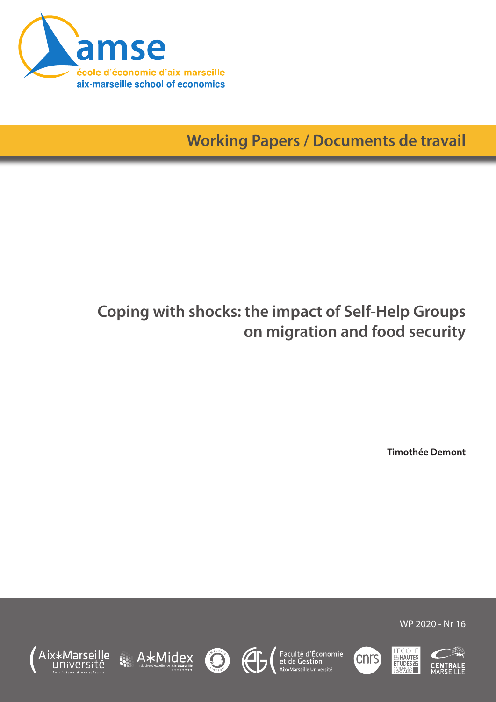

**Working Papers / Documents de travail**

# **Coping with shocks: the impact of Self-Help Groups on migration and food security**

**Timothée Demont**

WP 2020 - Nr 16









Faculté d'Économie<br>et de Gestion<br><sup>Aix\*Marseille Université</sup>



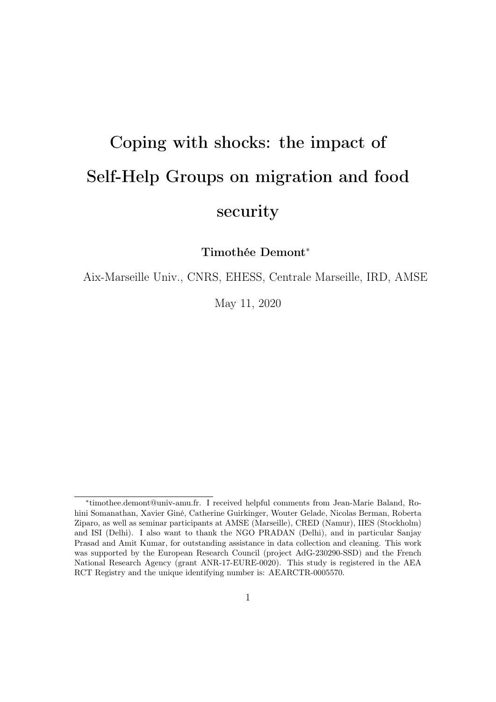# Coping with shocks: the impact of Self-Help Groups on migration and food security

Timothée Demont<sup>∗</sup>

Aix-Marseille Univ., CNRS, EHESS, Centrale Marseille, IRD, AMSE

May 11, 2020

<sup>∗</sup> timothee.demont@univ-amu.fr. I received helpful comments from Jean-Marie Baland, Rohini Somanathan, Xavier Giné, Catherine Guirkinger, Wouter Gelade, Nicolas Berman, Roberta Ziparo, as well as seminar participants at AMSE (Marseille), CRED (Namur), IIES (Stockholm) and ISI (Delhi). I also want to thank the NGO PRADAN (Delhi), and in particular Sanjay Prasad and Amit Kumar, for outstanding assistance in data collection and cleaning. This work was supported by the European Research Council (project AdG-230290-SSD) and the French National Research Agency (grant ANR-17-EURE-0020). This study is registered in the AEA RCT Registry and the unique identifying number is: AEARCTR-0005570.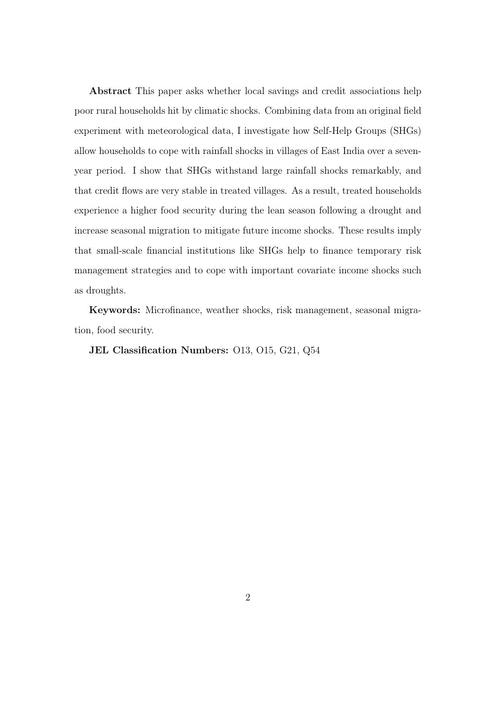Abstract This paper asks whether local savings and credit associations help poor rural households hit by climatic shocks. Combining data from an original field experiment with meteorological data, I investigate how Self-Help Groups (SHGs) allow households to cope with rainfall shocks in villages of East India over a sevenyear period. I show that SHGs withstand large rainfall shocks remarkably, and that credit flows are very stable in treated villages. As a result, treated households experience a higher food security during the lean season following a drought and increase seasonal migration to mitigate future income shocks. These results imply that small-scale financial institutions like SHGs help to finance temporary risk management strategies and to cope with important covariate income shocks such as droughts.

Keywords: Microfinance, weather shocks, risk management, seasonal migration, food security.

JEL Classification Numbers: O13, O15, G21, Q54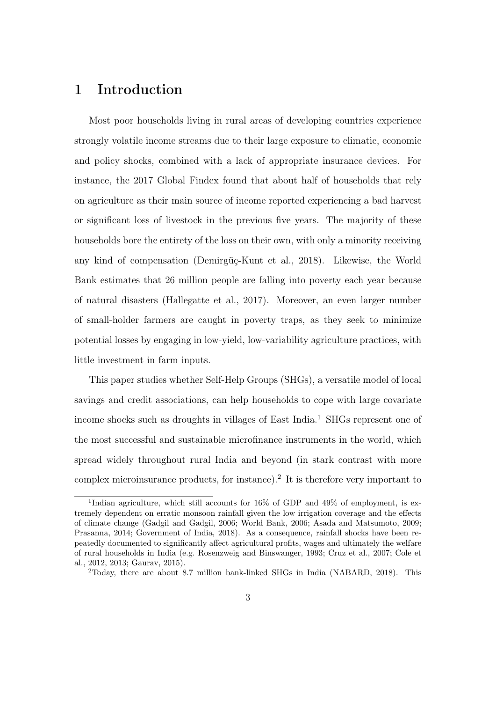## 1 Introduction

Most poor households living in rural areas of developing countries experience strongly volatile income streams due to their large exposure to climatic, economic and policy shocks, combined with a lack of appropriate insurance devices. For instance, the 2017 Global Findex found that about half of households that rely on agriculture as their main source of income reported experiencing a bad harvest or significant loss of livestock in the previous five years. The majority of these households bore the entirety of the loss on their own, with only a minority receiving any kind of compensation (Demirgüç-Kunt et al., 2018). Likewise, the World Bank estimates that 26 million people are falling into poverty each year because of natural disasters (Hallegatte et al., 2017). Moreover, an even larger number of small-holder farmers are caught in poverty traps, as they seek to minimize potential losses by engaging in low-yield, low-variability agriculture practices, with little investment in farm inputs.

This paper studies whether Self-Help Groups (SHGs), a versatile model of local savings and credit associations, can help households to cope with large covariate income shocks such as droughts in villages of East India.<sup>1</sup> SHGs represent one of the most successful and sustainable microfinance instruments in the world, which spread widely throughout rural India and beyond (in stark contrast with more complex microinsurance products, for instance).<sup>2</sup> It is therefore very important to

<sup>&</sup>lt;sup>1</sup>Indian agriculture, which still accounts for 16% of GDP and 49% of employment, is extremely dependent on erratic monsoon rainfall given the low irrigation coverage and the effects of climate change (Gadgil and Gadgil, 2006; World Bank, 2006; Asada and Matsumoto, 2009; Prasanna, 2014; Government of India, 2018). As a consequence, rainfall shocks have been repeatedly documented to significantly affect agricultural profits, wages and ultimately the welfare of rural households in India (e.g. Rosenzweig and Binswanger, 1993; Cruz et al., 2007; Cole et al., 2012, 2013; Gaurav, 2015).

<sup>2</sup>Today, there are about 8.7 million bank-linked SHGs in India (NABARD, 2018). This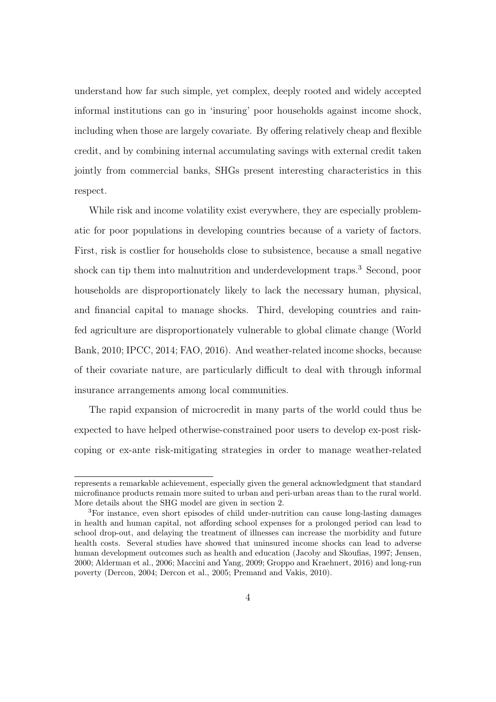understand how far such simple, yet complex, deeply rooted and widely accepted informal institutions can go in 'insuring' poor households against income shock, including when those are largely covariate. By offering relatively cheap and flexible credit, and by combining internal accumulating savings with external credit taken jointly from commercial banks, SHGs present interesting characteristics in this respect.

While risk and income volatility exist everywhere, they are especially problematic for poor populations in developing countries because of a variety of factors. First, risk is costlier for households close to subsistence, because a small negative shock can tip them into malnutrition and underdevelopment traps.<sup>3</sup> Second, poor households are disproportionately likely to lack the necessary human, physical, and financial capital to manage shocks. Third, developing countries and rainfed agriculture are disproportionately vulnerable to global climate change (World Bank, 2010; IPCC, 2014; FAO, 2016). And weather-related income shocks, because of their covariate nature, are particularly difficult to deal with through informal insurance arrangements among local communities.

The rapid expansion of microcredit in many parts of the world could thus be expected to have helped otherwise-constrained poor users to develop ex-post riskcoping or ex-ante risk-mitigating strategies in order to manage weather-related

represents a remarkable achievement, especially given the general acknowledgment that standard microfinance products remain more suited to urban and peri-urban areas than to the rural world. More details about the SHG model are given in section 2.

<sup>3</sup>For instance, even short episodes of child under-nutrition can cause long-lasting damages in health and human capital, not affording school expenses for a prolonged period can lead to school drop-out, and delaying the treatment of illnesses can increase the morbidity and future health costs. Several studies have showed that uninsured income shocks can lead to adverse human development outcomes such as health and education (Jacoby and Skoufias, 1997; Jensen, 2000; Alderman et al., 2006; Maccini and Yang, 2009; Groppo and Kraehnert, 2016) and long-run poverty (Dercon, 2004; Dercon et al., 2005; Premand and Vakis, 2010).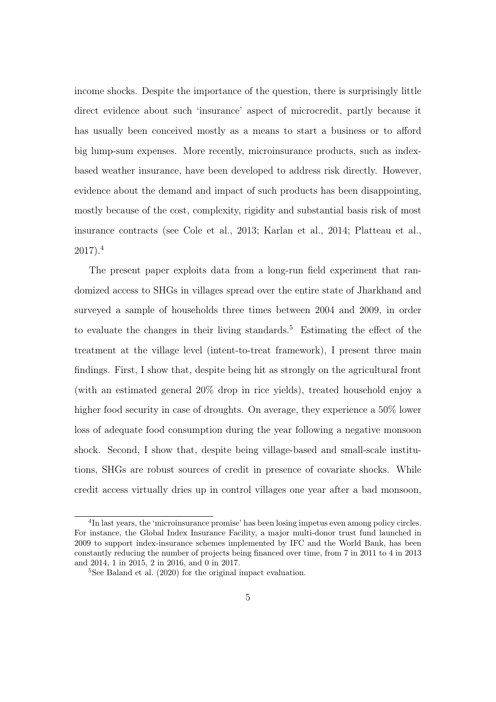income shocks. Despite the importance of the question, there is surprisingly little direct evidence about such 'insurance' aspect of microcredit, partly because it has usually been conceived mostly as a means to start a business or to afford big lump-sum expenses. More recently, microinsurance products, such as indexbased weather insurance, have been developed to address risk directly. However, evidence about the demand and impact of such products has been disappointing, mostly because of the cost, complexity, rigidity and substantial basis risk of most insurance contracts (see Cole et al., 2013; Karlan et al., 2014; Platteau et al.,  $2017$ ).<sup>4</sup>

The present paper exploits data from a long-run field experiment that randomized access to SHGs in villages spread over the entire state of Jharkhand and surveyed a sample of households three times between 2004 and 2009, in order to evaluate the changes in their living standards.<sup>5</sup> Estimating the effect of the treatment at the village level (intent-to-treat framework), I present three main findings. First, I show that, despite being hit as strongly on the agricultural front (with an estimated general 20% drop in rice yields), treated household enjoy a higher food security in case of droughts. On average, they experience a  $50\%$  lower loss of adequate food consumption during the year following a negative monsoon shock. Second, I show that, despite being village-based and small-scale institutions, SHGs are robust sources of credit in presence of covariate shocks. While credit access virtually dries up in control villages one year after a bad monsoon,

<sup>&</sup>lt;sup>4</sup>In last years, the 'microinsurance promise' has been losing impetus even among policy circles. For instance, the Global Index Insurance Facility, a major multi-donor trust fund launched in 2009 to support index-insurance schemes implemented by IFC and the World Bank, has been constantly reducing the number of projects being financed over time, from 7 in 2011 to 4 in 2013 and 2014, 1 in 2015, 2 in 2016, and 0 in 2017.

<sup>5</sup>See Baland et al. (2020) for the original impact evaluation.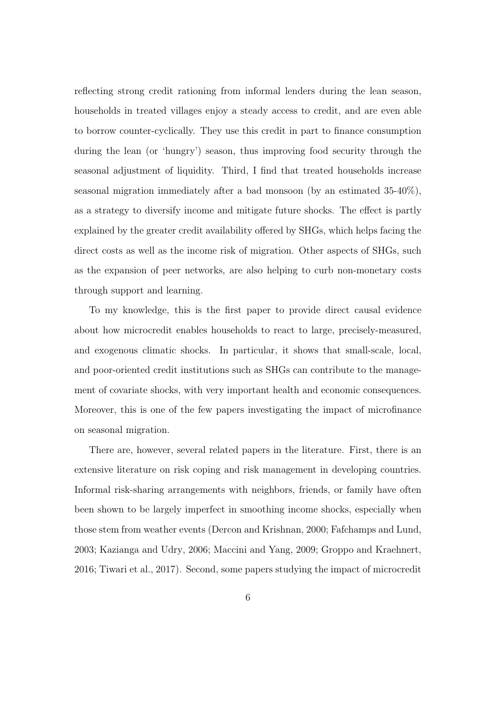reflecting strong credit rationing from informal lenders during the lean season, households in treated villages enjoy a steady access to credit, and are even able to borrow counter-cyclically. They use this credit in part to finance consumption during the lean (or 'hungry') season, thus improving food security through the seasonal adjustment of liquidity. Third, I find that treated households increase seasonal migration immediately after a bad monsoon (by an estimated 35-40%), as a strategy to diversify income and mitigate future shocks. The effect is partly explained by the greater credit availability offered by SHGs, which helps facing the direct costs as well as the income risk of migration. Other aspects of SHGs, such as the expansion of peer networks, are also helping to curb non-monetary costs through support and learning.

To my knowledge, this is the first paper to provide direct causal evidence about how microcredit enables households to react to large, precisely-measured, and exogenous climatic shocks. In particular, it shows that small-scale, local, and poor-oriented credit institutions such as SHGs can contribute to the management of covariate shocks, with very important health and economic consequences. Moreover, this is one of the few papers investigating the impact of microfinance on seasonal migration.

There are, however, several related papers in the literature. First, there is an extensive literature on risk coping and risk management in developing countries. Informal risk-sharing arrangements with neighbors, friends, or family have often been shown to be largely imperfect in smoothing income shocks, especially when those stem from weather events (Dercon and Krishnan, 2000; Fafchamps and Lund, 2003; Kazianga and Udry, 2006; Maccini and Yang, 2009; Groppo and Kraehnert, 2016; Tiwari et al., 2017). Second, some papers studying the impact of microcredit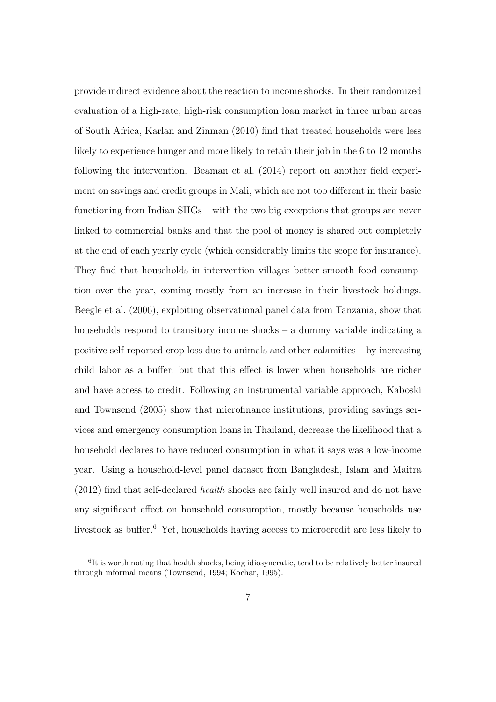provide indirect evidence about the reaction to income shocks. In their randomized evaluation of a high-rate, high-risk consumption loan market in three urban areas of South Africa, Karlan and Zinman (2010) find that treated households were less likely to experience hunger and more likely to retain their job in the 6 to 12 months following the intervention. Beaman et al. (2014) report on another field experiment on savings and credit groups in Mali, which are not too different in their basic functioning from Indian SHGs – with the two big exceptions that groups are never linked to commercial banks and that the pool of money is shared out completely at the end of each yearly cycle (which considerably limits the scope for insurance). They find that households in intervention villages better smooth food consumption over the year, coming mostly from an increase in their livestock holdings. Beegle et al. (2006), exploiting observational panel data from Tanzania, show that households respond to transitory income shocks – a dummy variable indicating a positive self-reported crop loss due to animals and other calamities – by increasing child labor as a buffer, but that this effect is lower when households are richer and have access to credit. Following an instrumental variable approach, Kaboski and Townsend (2005) show that microfinance institutions, providing savings services and emergency consumption loans in Thailand, decrease the likelihood that a household declares to have reduced consumption in what it says was a low-income year. Using a household-level panel dataset from Bangladesh, Islam and Maitra (2012) find that self-declared health shocks are fairly well insured and do not have any significant effect on household consumption, mostly because households use livestock as buffer.<sup>6</sup> Yet, households having access to microcredit are less likely to

<sup>&</sup>lt;sup>6</sup>It is worth noting that health shocks, being idiosyncratic, tend to be relatively better insured through informal means (Townsend, 1994; Kochar, 1995).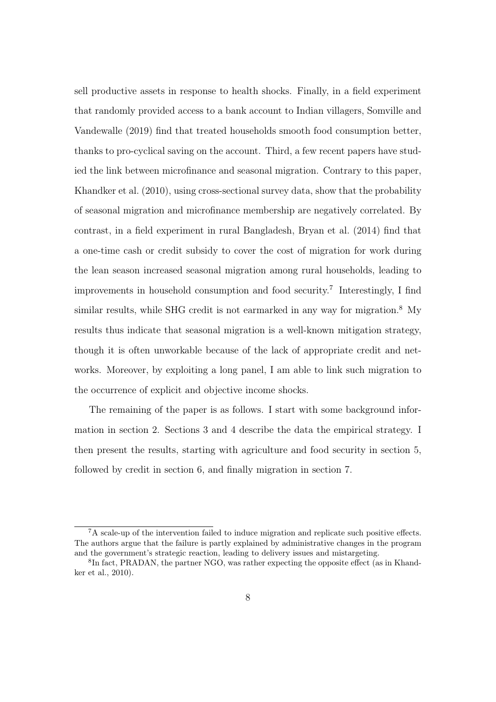sell productive assets in response to health shocks. Finally, in a field experiment that randomly provided access to a bank account to Indian villagers, Somville and Vandewalle (2019) find that treated households smooth food consumption better, thanks to pro-cyclical saving on the account. Third, a few recent papers have studied the link between microfinance and seasonal migration. Contrary to this paper, Khandker et al. (2010), using cross-sectional survey data, show that the probability of seasonal migration and microfinance membership are negatively correlated. By contrast, in a field experiment in rural Bangladesh, Bryan et al. (2014) find that a one-time cash or credit subsidy to cover the cost of migration for work during the lean season increased seasonal migration among rural households, leading to improvements in household consumption and food security.<sup>7</sup> Interestingly, I find similar results, while SHG credit is not earmarked in any way for migration.<sup>8</sup> My results thus indicate that seasonal migration is a well-known mitigation strategy, though it is often unworkable because of the lack of appropriate credit and networks. Moreover, by exploiting a long panel, I am able to link such migration to the occurrence of explicit and objective income shocks.

The remaining of the paper is as follows. I start with some background information in section 2. Sections 3 and 4 describe the data the empirical strategy. I then present the results, starting with agriculture and food security in section 5, followed by credit in section 6, and finally migration in section 7.

<sup>7</sup>A scale-up of the intervention failed to induce migration and replicate such positive effects. The authors argue that the failure is partly explained by administrative changes in the program and the government's strategic reaction, leading to delivery issues and mistargeting.

<sup>&</sup>lt;sup>8</sup>In fact, PRADAN, the partner NGO, was rather expecting the opposite effect (as in Khandker et al., 2010).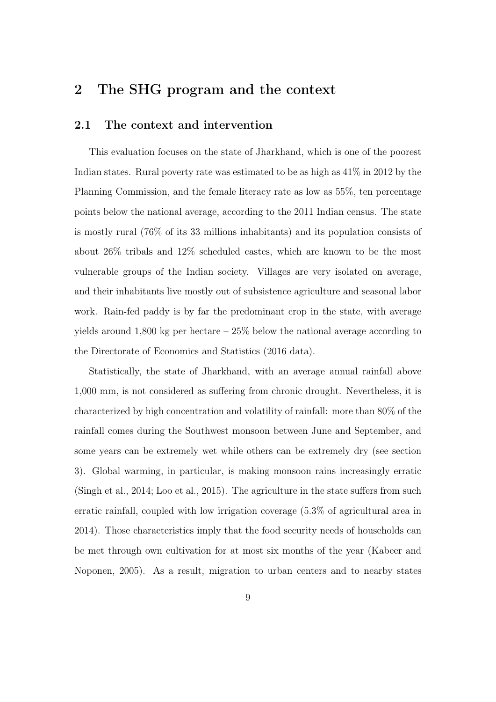## 2 The SHG program and the context

#### 2.1 The context and intervention

This evaluation focuses on the state of Jharkhand, which is one of the poorest Indian states. Rural poverty rate was estimated to be as high as 41% in 2012 by the Planning Commission, and the female literacy rate as low as 55%, ten percentage points below the national average, according to the 2011 Indian census. The state is mostly rural (76% of its 33 millions inhabitants) and its population consists of about 26% tribals and 12% scheduled castes, which are known to be the most vulnerable groups of the Indian society. Villages are very isolated on average, and their inhabitants live mostly out of subsistence agriculture and seasonal labor work. Rain-fed paddy is by far the predominant crop in the state, with average yields around 1,800 kg per hectare  $-25\%$  below the national average according to the Directorate of Economics and Statistics (2016 data).

Statistically, the state of Jharkhand, with an average annual rainfall above 1,000 mm, is not considered as suffering from chronic drought. Nevertheless, it is characterized by high concentration and volatility of rainfall: more than 80% of the rainfall comes during the Southwest monsoon between June and September, and some years can be extremely wet while others can be extremely dry (see section 3). Global warming, in particular, is making monsoon rains increasingly erratic (Singh et al., 2014; Loo et al., 2015). The agriculture in the state suffers from such erratic rainfall, coupled with low irrigation coverage (5.3% of agricultural area in 2014). Those characteristics imply that the food security needs of households can be met through own cultivation for at most six months of the year (Kabeer and Noponen, 2005). As a result, migration to urban centers and to nearby states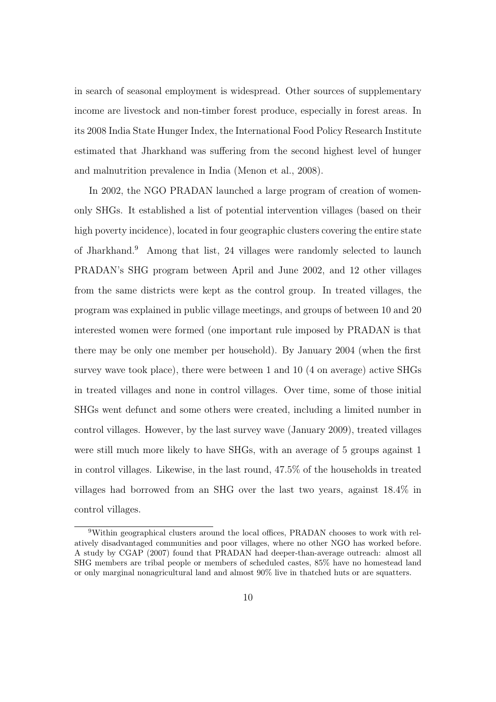in search of seasonal employment is widespread. Other sources of supplementary income are livestock and non-timber forest produce, especially in forest areas. In its 2008 India State Hunger Index, the International Food Policy Research Institute estimated that Jharkhand was suffering from the second highest level of hunger and malnutrition prevalence in India (Menon et al., 2008).

In 2002, the NGO PRADAN launched a large program of creation of womenonly SHGs. It established a list of potential intervention villages (based on their high poverty incidence), located in four geographic clusters covering the entire state of Jharkhand.<sup>9</sup> Among that list, 24 villages were randomly selected to launch PRADAN's SHG program between April and June 2002, and 12 other villages from the same districts were kept as the control group. In treated villages, the program was explained in public village meetings, and groups of between 10 and 20 interested women were formed (one important rule imposed by PRADAN is that there may be only one member per household). By January 2004 (when the first survey wave took place), there were between 1 and 10 (4 on average) active SHGs in treated villages and none in control villages. Over time, some of those initial SHGs went defunct and some others were created, including a limited number in control villages. However, by the last survey wave (January 2009), treated villages were still much more likely to have SHGs, with an average of 5 groups against 1 in control villages. Likewise, in the last round, 47.5% of the households in treated villages had borrowed from an SHG over the last two years, against 18.4% in control villages.

<sup>9</sup>Within geographical clusters around the local offices, PRADAN chooses to work with relatively disadvantaged communities and poor villages, where no other NGO has worked before. A study by CGAP (2007) found that PRADAN had deeper-than-average outreach: almost all SHG members are tribal people or members of scheduled castes, 85% have no homestead land or only marginal nonagricultural land and almost 90% live in thatched huts or are squatters.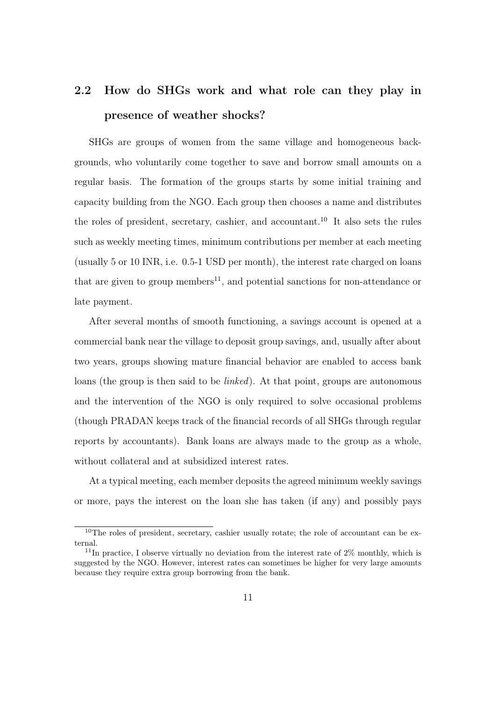# 2.2 How do SHGs work and what role can they play in presence of weather shocks?

SHGs are groups of women from the same village and homogeneous backgrounds, who voluntarily come together to save and borrow small amounts on a regular basis. The formation of the groups starts by some initial training and capacity building from the NGO. Each group then chooses a name and distributes the roles of president, secretary, cashier, and accountant.<sup>10</sup> It also sets the rules such as weekly meeting times, minimum contributions per member at each meeting (usually 5 or 10 INR, i.e. 0.5-1 USD per month), the interest rate charged on loans that are given to group members<sup>11</sup>, and potential sanctions for non-attendance or late payment.

After several months of smooth functioning, a savings account is opened at a commercial bank near the village to deposit group savings, and, usually after about two years, groups showing mature financial behavior are enabled to access bank loans (the group is then said to be *linked*). At that point, groups are autonomous and the intervention of the NGO is only required to solve occasional problems (though PRADAN keeps track of the financial records of all SHGs through regular reports by accountants). Bank loans are always made to the group as a whole, without collateral and at subsidized interest rates.

At a typical meeting, each member deposits the agreed minimum weekly savings or more, pays the interest on the loan she has taken (if any) and possibly pays

 $10$ The roles of president, secretary, cashier usually rotate; the role of accountant can be external.

<sup>&</sup>lt;sup>11</sup>In practice, I observe virtually no deviation from the interest rate of  $2\%$  monthly, which is suggested by the NGO. However, interest rates can sometimes be higher for very large amounts because they require extra group borrowing from the bank.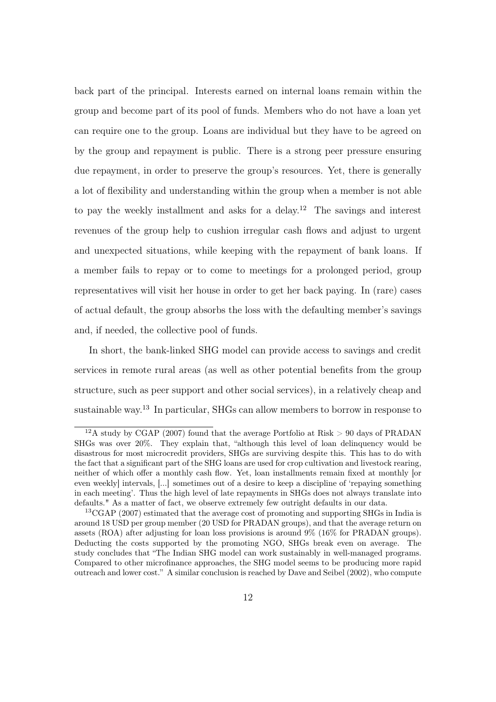back part of the principal. Interests earned on internal loans remain within the group and become part of its pool of funds. Members who do not have a loan yet can require one to the group. Loans are individual but they have to be agreed on by the group and repayment is public. There is a strong peer pressure ensuring due repayment, in order to preserve the group's resources. Yet, there is generally a lot of flexibility and understanding within the group when a member is not able to pay the weekly installment and asks for a delay.<sup>12</sup> The savings and interest revenues of the group help to cushion irregular cash flows and adjust to urgent and unexpected situations, while keeping with the repayment of bank loans. If a member fails to repay or to come to meetings for a prolonged period, group representatives will visit her house in order to get her back paying. In (rare) cases of actual default, the group absorbs the loss with the defaulting member's savings and, if needed, the collective pool of funds.

In short, the bank-linked SHG model can provide access to savings and credit services in remote rural areas (as well as other potential benefits from the group structure, such as peer support and other social services), in a relatively cheap and sustainable way.<sup>13</sup> In particular, SHGs can allow members to borrow in response to

<sup>&</sup>lt;sup>12</sup>A study by CGAP (2007) found that the average Portfolio at Risk  $> 90$  days of PRADAN SHGs was over 20%. They explain that, "although this level of loan delinquency would be disastrous for most microcredit providers, SHGs are surviving despite this. This has to do with the fact that a significant part of the SHG loans are used for crop cultivation and livestock rearing, neither of which offer a monthly cash flow. Yet, loan installments remain fixed at monthly [or even weekly] intervals, [...] sometimes out of a desire to keep a discipline of 'repaying something in each meeting'. Thus the high level of late repayments in SHGs does not always translate into defaults." As a matter of fact, we observe extremely few outright defaults in our data.

<sup>13</sup>CGAP (2007) estimated that the average cost of promoting and supporting SHGs in India is around 18 USD per group member (20 USD for PRADAN groups), and that the average return on assets (ROA) after adjusting for loan loss provisions is around 9% (16% for PRADAN groups). Deducting the costs supported by the promoting NGO, SHGs break even on average. The study concludes that "The Indian SHG model can work sustainably in well-managed programs. Compared to other microfinance approaches, the SHG model seems to be producing more rapid outreach and lower cost." A similar conclusion is reached by Dave and Seibel (2002), who compute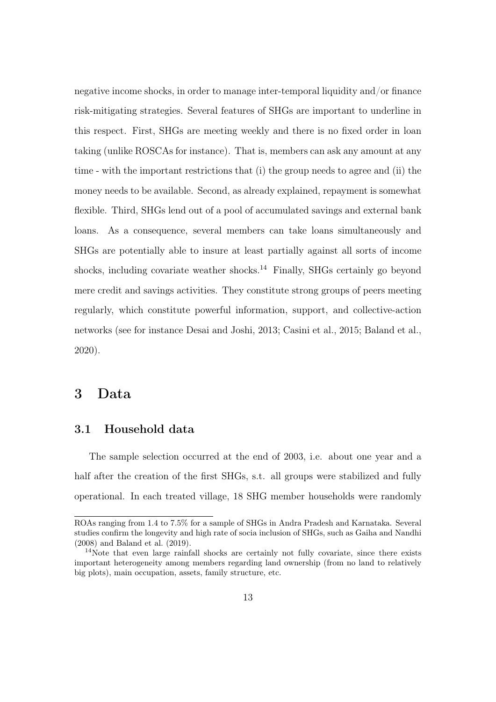negative income shocks, in order to manage inter-temporal liquidity and/or finance risk-mitigating strategies. Several features of SHGs are important to underline in this respect. First, SHGs are meeting weekly and there is no fixed order in loan taking (unlike ROSCAs for instance). That is, members can ask any amount at any time - with the important restrictions that (i) the group needs to agree and (ii) the money needs to be available. Second, as already explained, repayment is somewhat flexible. Third, SHGs lend out of a pool of accumulated savings and external bank loans. As a consequence, several members can take loans simultaneously and SHGs are potentially able to insure at least partially against all sorts of income shocks, including covariate weather shocks.<sup>14</sup> Finally, SHGs certainly go beyond mere credit and savings activities. They constitute strong groups of peers meeting regularly, which constitute powerful information, support, and collective-action networks (see for instance Desai and Joshi, 2013; Casini et al., 2015; Baland et al., 2020).

#### 3 Data

#### 3.1 Household data

The sample selection occurred at the end of 2003, i.e. about one year and a half after the creation of the first SHGs, s.t. all groups were stabilized and fully operational. In each treated village, 18 SHG member households were randomly

ROAs ranging from 1.4 to 7.5% for a sample of SHGs in Andra Pradesh and Karnataka. Several studies confirm the longevity and high rate of socia inclusion of SHGs, such as Gaiha and Nandhi (2008) and Baland et al. (2019).

<sup>&</sup>lt;sup>14</sup>Note that even large rainfall shocks are certainly not fully covariate, since there exists important heterogeneity among members regarding land ownership (from no land to relatively big plots), main occupation, assets, family structure, etc.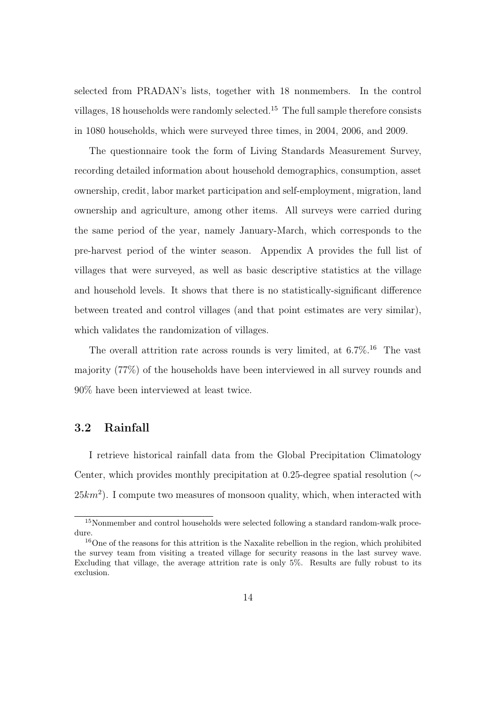selected from PRADAN's lists, together with 18 nonmembers. In the control villages, 18 households were randomly selected.<sup>15</sup> The full sample therefore consists in 1080 households, which were surveyed three times, in 2004, 2006, and 2009.

The questionnaire took the form of Living Standards Measurement Survey, recording detailed information about household demographics, consumption, asset ownership, credit, labor market participation and self-employment, migration, land ownership and agriculture, among other items. All surveys were carried during the same period of the year, namely January-March, which corresponds to the pre-harvest period of the winter season. Appendix A provides the full list of villages that were surveyed, as well as basic descriptive statistics at the village and household levels. It shows that there is no statistically-significant difference between treated and control villages (and that point estimates are very similar), which validates the randomization of villages.

The overall attrition rate across rounds is very limited, at  $6.7\%$ <sup>16</sup> The vast majority (77%) of the households have been interviewed in all survey rounds and 90% have been interviewed at least twice.

#### 3.2 Rainfall

I retrieve historical rainfall data from the Global Precipitation Climatology Center, which provides monthly precipitation at 0.25-degree spatial resolution ( $\sim$  $25km^2$ ). I compute two measures of monsoon quality, which, when interacted with

<sup>15</sup>Nonmember and control households were selected following a standard random-walk procedure.

<sup>&</sup>lt;sup>16</sup>One of the reasons for this attrition is the Naxalite rebellion in the region, which prohibited the survey team from visiting a treated village for security reasons in the last survey wave. Excluding that village, the average attrition rate is only 5%. Results are fully robust to its exclusion.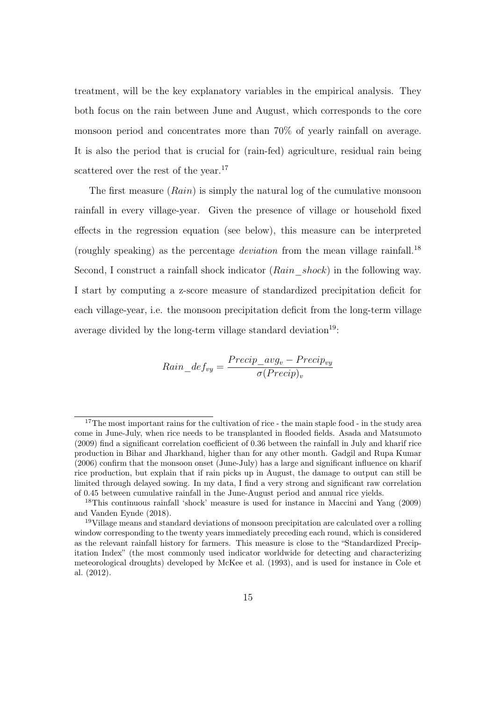treatment, will be the key explanatory variables in the empirical analysis. They both focus on the rain between June and August, which corresponds to the core monsoon period and concentrates more than 70% of yearly rainfall on average. It is also the period that is crucial for (rain-fed) agriculture, residual rain being scattered over the rest of the year.<sup>17</sup>

The first measure  $(Rain)$  is simply the natural log of the cumulative monsoon rainfall in every village-year. Given the presence of village or household fixed effects in the regression equation (see below), this measure can be interpreted (roughly speaking) as the percentage *deviation* from the mean village rainfall.<sup>18</sup> Second, I construct a rainfall shock indicator  $(Rain \; shock)$  in the following way. I start by computing a z-score measure of standardized precipitation deficit for each village-year, i.e. the monsoon precipitation deficit from the long-term village average divided by the long-term village standard deviation<sup>19</sup>:

$$
Rain\_def_{vy} = \frac{Precip\_{avg_v} - Precip_{vy}}{\sigma(Precip)_v}
$$

<sup>&</sup>lt;sup>17</sup>The most important rains for the cultivation of rice - the main staple food - in the study area come in June-July, when rice needs to be transplanted in flooded fields. Asada and Matsumoto (2009) find a significant correlation coefficient of 0.36 between the rainfall in July and kharif rice production in Bihar and Jharkhand, higher than for any other month. Gadgil and Rupa Kumar (2006) confirm that the monsoon onset (June-July) has a large and significant influence on kharif rice production, but explain that if rain picks up in August, the damage to output can still be limited through delayed sowing. In my data, I find a very strong and significant raw correlation of 0.45 between cumulative rainfall in the June-August period and annual rice yields.

<sup>18</sup>This continuous rainfall 'shock' measure is used for instance in Maccini and Yang (2009) and Vanden Eynde (2018).

<sup>19</sup>Village means and standard deviations of monsoon precipitation are calculated over a rolling window corresponding to the twenty years immediately preceding each round, which is considered as the relevant rainfall history for farmers. This measure is close to the "Standardized Precipitation Index" (the most commonly used indicator worldwide for detecting and characterizing meteorological droughts) developed by McKee et al. (1993), and is used for instance in Cole et al. (2012).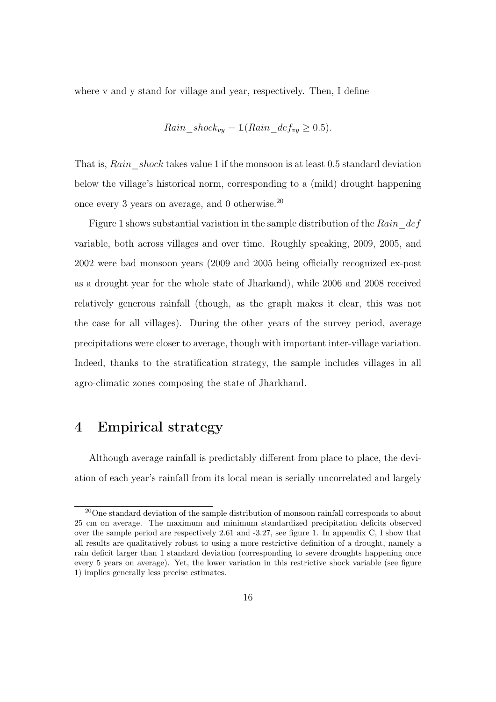where v and y stand for village and year, respectively. Then, I define

$$
Rain\_shock_{vy} = \mathbb{1}(Rain\_def_{vy} \ge 0.5).
$$

That is,  $Rain \; shock$  takes value 1 if the monsoon is at least 0.5 standard deviation below the village's historical norm, corresponding to a (mild) drought happening once every 3 years on average, and 0 otherwise.<sup>20</sup>

Figure 1 shows substantial variation in the sample distribution of the Rain  $\det$ variable, both across villages and over time. Roughly speaking, 2009, 2005, and 2002 were bad monsoon years (2009 and 2005 being officially recognized ex-post as a drought year for the whole state of Jharkand), while 2006 and 2008 received relatively generous rainfall (though, as the graph makes it clear, this was not the case for all villages). During the other years of the survey period, average precipitations were closer to average, though with important inter-village variation. Indeed, thanks to the stratification strategy, the sample includes villages in all agro-climatic zones composing the state of Jharkhand.

## 4 Empirical strategy

Although average rainfall is predictably different from place to place, the deviation of each year's rainfall from its local mean is serially uncorrelated and largely

<sup>20</sup>One standard deviation of the sample distribution of monsoon rainfall corresponds to about 25 cm on average. The maximum and minimum standardized precipitation deficits observed over the sample period are respectively 2.61 and -3.27, see figure 1. In appendix C, I show that all results are qualitatively robust to using a more restrictive definition of a drought, namely a rain deficit larger than 1 standard deviation (corresponding to severe droughts happening once every 5 years on average). Yet, the lower variation in this restrictive shock variable (see figure 1) implies generally less precise estimates.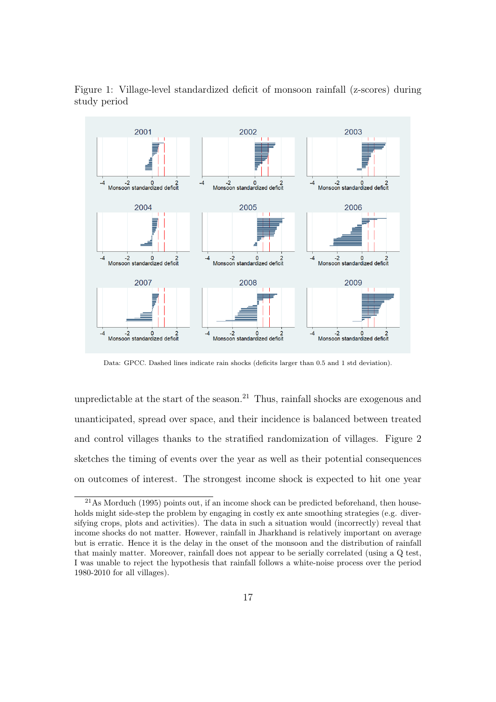

Figure 1: Village-level standardized deficit of monsoon rainfall (z-scores) during study period

Data: GPCC. Dashed lines indicate rain shocks (deficits larger than 0.5 and 1 std deviation).

unpredictable at the start of the season.<sup>21</sup> Thus, rainfall shocks are exogenous and unanticipated, spread over space, and their incidence is balanced between treated and control villages thanks to the stratified randomization of villages. Figure 2 sketches the timing of events over the year as well as their potential consequences on outcomes of interest. The strongest income shock is expected to hit one year

 $^{21}$ As Morduch (1995) points out, if an income shock can be predicted beforehand, then households might side-step the problem by engaging in costly ex ante smoothing strategies (e.g. diversifying crops, plots and activities). The data in such a situation would (incorrectly) reveal that income shocks do not matter. However, rainfall in Jharkhand is relatively important on average but is erratic. Hence it is the delay in the onset of the monsoon and the distribution of rainfall that mainly matter. Moreover, rainfall does not appear to be serially correlated (using a Q test, I was unable to reject the hypothesis that rainfall follows a white-noise process over the period 1980-2010 for all villages).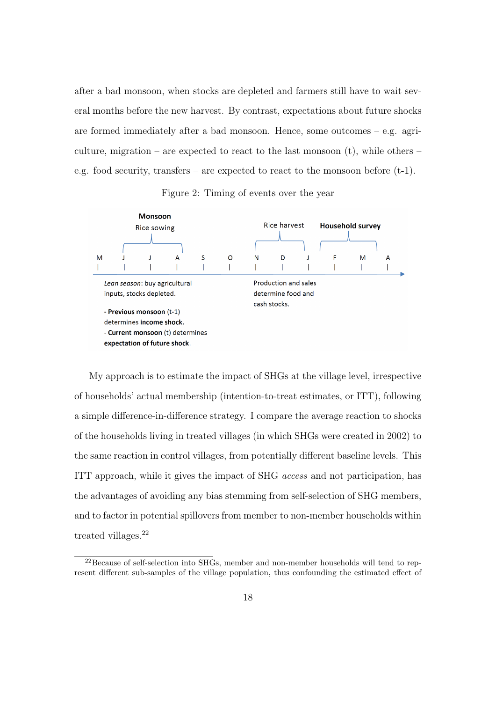after a bad monsoon, when stocks are depleted and farmers still have to wait several months before the new harvest. By contrast, expectations about future shocks are formed immediately after a bad monsoon. Hence, some outcomes – e.g. agriculture, migration – are expected to react to the last monsoon  $(t)$ , while others – e.g. food security, transfers – are expected to react to the monsoon before  $(t-1)$ .

Figure 2: Timing of events over the year



My approach is to estimate the impact of SHGs at the village level, irrespective of households' actual membership (intention-to-treat estimates, or ITT), following a simple difference-in-difference strategy. I compare the average reaction to shocks of the households living in treated villages (in which SHGs were created in 2002) to the same reaction in control villages, from potentially different baseline levels. This ITT approach, while it gives the impact of SHG access and not participation, has the advantages of avoiding any bias stemming from self-selection of SHG members, and to factor in potential spillovers from member to non-member households within treated villages.<sup>22</sup>

 $^{22}$ Because of self-selection into SHGs, member and non-member households will tend to represent different sub-samples of the village population, thus confounding the estimated effect of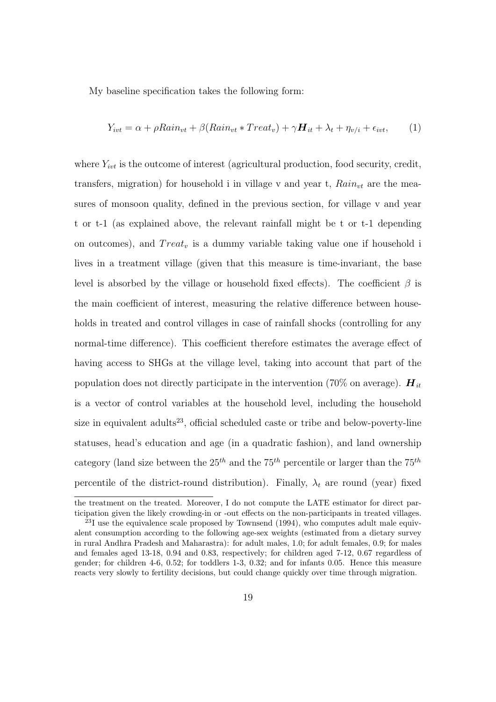My baseline specification takes the following form:

$$
Y_{ivt} = \alpha + \rho Rain_{vt} + \beta(Rain_{vt} * Treat_v) + \gamma H_{it} + \lambda_t + \eta_{v/i} + \epsilon_{ivt},
$$
 (1)

where  $Y_{ivt}$  is the outcome of interest (agricultural production, food security, credit, transfers, migration) for household i in village v and year t,  $Rain_{vt}$  are the measures of monsoon quality, defined in the previous section, for village v and year t or t-1 (as explained above, the relevant rainfall might be t or t-1 depending on outcomes), and  $Treat_v$  is a dummy variable taking value one if household i lives in a treatment village (given that this measure is time-invariant, the base level is absorbed by the village or household fixed effects). The coefficient  $\beta$  is the main coefficient of interest, measuring the relative difference between households in treated and control villages in case of rainfall shocks (controlling for any normal-time difference). This coefficient therefore estimates the average effect of having access to SHGs at the village level, taking into account that part of the population does not directly participate in the intervention (70% on average).  $\boldsymbol{H}_{it}$ is a vector of control variables at the household level, including the household size in equivalent adults<sup>23</sup>, official scheduled caste or tribe and below-poverty-line statuses, head's education and age (in a quadratic fashion), and land ownership category (land size between the  $25^{th}$  and the  $75^{th}$  percentile or larger than the  $75^{th}$ percentile of the district-round distribution). Finally,  $\lambda_t$  are round (year) fixed

the treatment on the treated. Moreover, I do not compute the LATE estimator for direct participation given the likely crowding-in or -out effects on the non-participants in treated villages.

 $23I$  use the equivalence scale proposed by Townsend (1994), who computes adult male equivalent consumption according to the following age-sex weights (estimated from a dietary survey in rural Andhra Pradesh and Maharastra): for adult males, 1.0; for adult females, 0.9; for males and females aged 13-18, 0.94 and 0.83, respectively; for children aged 7-12, 0.67 regardless of gender; for children 4-6, 0.52; for toddlers 1-3, 0.32; and for infants 0.05. Hence this measure reacts very slowly to fertility decisions, but could change quickly over time through migration.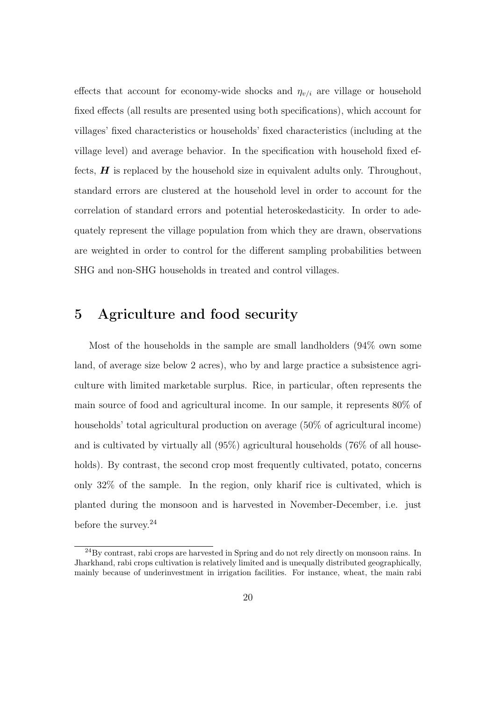effects that account for economy-wide shocks and  $\eta_{\nu/i}$  are village or household fixed effects (all results are presented using both specifications), which account for villages' fixed characteristics or households' fixed characteristics (including at the village level) and average behavior. In the specification with household fixed effects,  $\boldsymbol{H}$  is replaced by the household size in equivalent adults only. Throughout, standard errors are clustered at the household level in order to account for the correlation of standard errors and potential heteroskedasticity. In order to adequately represent the village population from which they are drawn, observations are weighted in order to control for the different sampling probabilities between SHG and non-SHG households in treated and control villages.

## 5 Agriculture and food security

Most of the households in the sample are small landholders (94% own some land, of average size below 2 acres), who by and large practice a subsistence agriculture with limited marketable surplus. Rice, in particular, often represents the main source of food and agricultural income. In our sample, it represents 80% of households' total agricultural production on average (50% of agricultural income) and is cultivated by virtually all (95%) agricultural households (76% of all households). By contrast, the second crop most frequently cultivated, potato, concerns only 32% of the sample. In the region, only kharif rice is cultivated, which is planted during the monsoon and is harvested in November-December, i.e. just before the survey.<sup>24</sup>

 $^{24}$ By contrast, rabi crops are harvested in Spring and do not rely directly on monsoon rains. In Jharkhand, rabi crops cultivation is relatively limited and is unequally distributed geographically, mainly because of underinvestment in irrigation facilities. For instance, wheat, the main rabi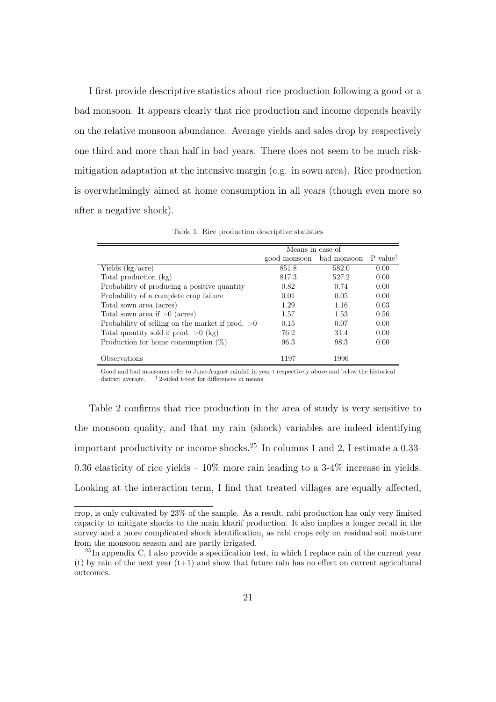I first provide descriptive statistics about rice production following a good or a bad monsoon. It appears clearly that rice production and income depends heavily on the relative monsoon abundance. Average yields and sales drop by respectively one third and more than half in bad years. There does not seem to be much riskmitigation adaptation at the intensive margin (e.g. in sown area). Rice production is overwhelmingly aimed at home consumption in all years (though even more so after a negative shock).

|                                              | Means in case of                              |       |      |  |  |
|----------------------------------------------|-----------------------------------------------|-------|------|--|--|
|                                              | good monsoon bad monsoon P-value <sup>†</sup> |       |      |  |  |
| Yields (kg/acre)                             | 851.8                                         | 582.0 | 0.00 |  |  |
| Total production (kg)                        | 817.3                                         | 527.2 | 0.00 |  |  |
| Probability of producing a positive quantity | 0.82                                          | 0.74  | 0.00 |  |  |
| Probability of a complete crop failure       | 0.01                                          | 0.05  | 0.00 |  |  |
| Total sown area (acres)                      | 1.29                                          | 1.16  | 0.03 |  |  |
|                                              |                                               |       |      |  |  |

Total sown area if  $>0$  (acres) 1.57 1.53 0.56 Probability of selling on the market if prod.  $>0$  0.15 0.07 0.00<br>Total quantity sold if prod.  $>0$  (kg) 76.2 31.4 0.00

Production for home consumption  $(\%)$  96.3 98.3 0.00

Observations 1197 1996

Total quantity sold if prod.  $>0$  (kg)

Table 1: Rice production descriptive statistics

Good and bad monsoons refer to June-August rainfall in year t respectively above and below the historical district average.  $\,$   $^\dagger$  2-sided t-test for differences in means.  $^\dagger$  2-sided t-test for differences in means.

Table 2 confirms that rice production in the area of study is very sensitive to the monsoon quality, and that my rain (shock) variables are indeed identifying important productivity or income shocks.<sup>25</sup> In columns 1 and 2, I estimate a  $0.33$ -0.36 elasticity of rice yields  $-10\%$  more rain leading to a 3-4% increase in yields. Looking at the interaction term, I find that treated villages are equally affected,

crop, is only cultivated by 23% of the sample. As a result, rabi production has only very limited capacity to mitigate shocks to the main kharif production. It also implies a longer recall in the survey and a more complicated shock identification, as rabi crops rely on residual soil moisture from the monsoon season and are partly irrigated.

<sup>&</sup>lt;sup>25</sup>In appendix C, I also provide a specification test, in which I replace rain of the current year (t) by rain of the next year  $(t+1)$  and show that future rain has no effect on current agricultural outcomes.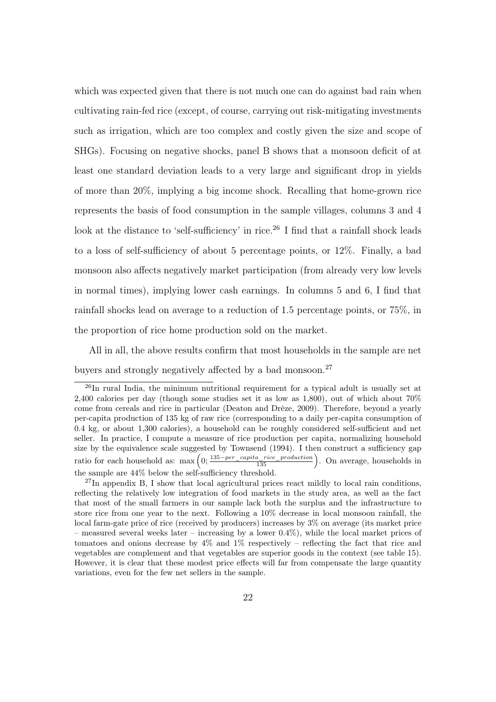which was expected given that there is not much one can do against bad rain when cultivating rain-fed rice (except, of course, carrying out risk-mitigating investments such as irrigation, which are too complex and costly given the size and scope of SHGs). Focusing on negative shocks, panel B shows that a monsoon deficit of at least one standard deviation leads to a very large and significant drop in yields of more than 20%, implying a big income shock. Recalling that home-grown rice represents the basis of food consumption in the sample villages, columns 3 and 4 look at the distance to 'self-sufficiency' in rice.<sup>26</sup> I find that a rainfall shock leads to a loss of self-sufficiency of about 5 percentage points, or 12%. Finally, a bad monsoon also affects negatively market participation (from already very low levels in normal times), implying lower cash earnings. In columns 5 and 6, I find that rainfall shocks lead on average to a reduction of 1.5 percentage points, or 75%, in the proportion of rice home production sold on the market.

All in all, the above results confirm that most households in the sample are net buyers and strongly negatively affected by a bad monsoon.<sup>27</sup>

<sup>&</sup>lt;sup>26</sup>In rural India, the minimum nutritional requirement for a typical adult is usually set at 2,400 calories per day (though some studies set it as low as 1,800), out of which about 70% come from cereals and rice in particular (Deaton and Drèze, 2009). Therefore, beyond a yearly per-capita production of 135 kg of raw rice (corresponding to a daily per-capita consumption of 0.4 kg, or about 1,300 calories), a household can be roughly considered self-sufficient and net seller. In practice, I compute a measure of rice production per capita, normalizing household size by the equivalence scale suggested by Townsend (1994). I then construct a sufficiency gap ratio for each household as:  $\max\left(0;\frac{135-per\_capita\_rice\_production}{135}\right)$ . On average, households in the sample are 44% below the self-sufficiency threshold.

 $^{27}$ In appendix B, I show that local agricultural prices react mildly to local rain conditions, reflecting the relatively low integration of food markets in the study area, as well as the fact that most of the small farmers in our sample lack both the surplus and the infrastructure to store rice from one year to the next. Following a 10% decrease in local monsoon rainfall, the local farm-gate price of rice (received by producers) increases by 3% on average (its market price – measured several weeks later – increasing by a lower 0.4%), while the local market prices of tomatoes and onions decrease by  $4\%$  and  $1\%$  respectively – reflecting the fact that rice and vegetables are complement and that vegetables are superior goods in the context (see table 15). However, it is clear that these modest price effects will far from compensate the large quantity variations, even for the few net sellers in the sample.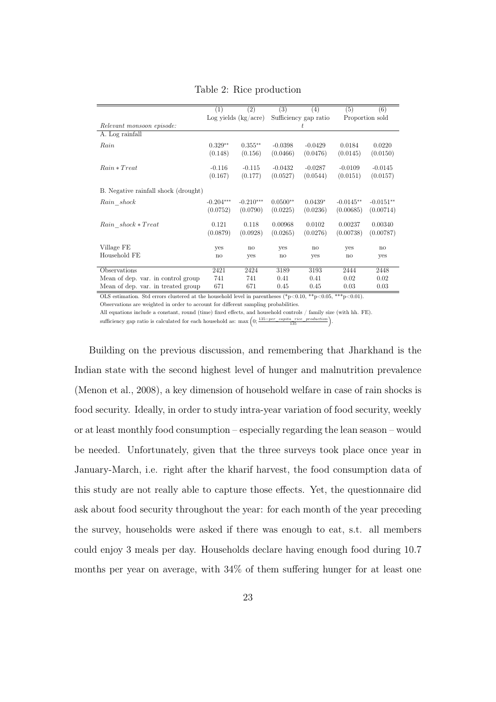|                                      | (1)          | (2)                      | (3)        | (4)                   | (5)         | (6)             |
|--------------------------------------|--------------|--------------------------|------------|-----------------------|-------------|-----------------|
|                                      |              | $Log$ yields $(kg/acre)$ |            | Sufficiency gap ratio |             | Proportion sold |
| Relevant monsoon episode:            |              |                          |            | t.                    |             |                 |
| A. Log rainfall                      |              |                          |            |                       |             |                 |
| Rain                                 | $0.329**$    | $0.355**$                | $-0.0398$  | $-0.0429$             | 0.0184      | 0.0220          |
|                                      | (0.148)      | (0.156)                  | (0.0466)   | (0.0476)              | (0.0145)    | (0.0150)        |
| $Rain * Treat$                       | $-0.116$     | $-0.115$                 | $-0.0432$  | $-0.0287$             | $-0.0109$   | $-0.0145$       |
|                                      | (0.167)      | (0.177)                  | (0.0527)   | (0.0544)              | (0.0151)    | (0.0157)        |
| B. Negative rainfall shock (drought) |              |                          |            |                       |             |                 |
| Rain shock                           | $-0.204***$  | $-0.210***$              | $0.0500**$ | $0.0439*$             | $-0.0145**$ | $-0.0151**$     |
|                                      | (0.0752)     | (0.0790)                 | (0.0225)   | (0.0236)              | (0.00685)   | (0.00714)       |
| Rain shock * Treat                   | 0.121        | 0.118                    | 0.00968    | 0.0102                | 0.00237     | 0.00340         |
|                                      | (0.0879)     | (0.0928)                 | (0.0265)   | (0.0276)              | (0.00738)   | (0.00787)       |
| Village FE                           | yes          | $\mathbf{n}$             | <b>ves</b> | no                    | yes         | no              |
| Household FE                         | $\mathbf{n}$ | yes                      | no         | yes                   | no          | yes             |
|                                      |              |                          |            |                       |             |                 |
| Observations                         | 2421         | 2424                     | 3189       | 3193                  | 2444        | 2448            |
| Mean of dep. var. in control group   | 741          | 741                      | 0.41       | 0.41                  | 0.02        | 0.02            |
| Mean of dep. var. in treated group   | 671          | 671                      | 0.45       | 0.45                  | 0.03        | 0.03            |

Table 2: Rice production

OLS estimation. Std errors clustered at the household level in parentheses (\*p<0.10, \*\*p<0.05, \*\*\*p<0.01). Observations are weighted in order to account for different sampling probabilities.

All equations include a constant, round (time) fixed effects, and household controls / family size (with hh. FE). sufficiency gap ratio is calculated for each household as:  $\max\left(0; \frac{135-per\_capita\_rice\_production}{135}\right)$ .

Building on the previous discussion, and remembering that Jharkhand is the Indian state with the second highest level of hunger and malnutrition prevalence (Menon et al., 2008), a key dimension of household welfare in case of rain shocks is food security. Ideally, in order to study intra-year variation of food security, weekly or at least monthly food consumption – especially regarding the lean season – would be needed. Unfortunately, given that the three surveys took place once year in January-March, i.e. right after the kharif harvest, the food consumption data of this study are not really able to capture those effects. Yet, the questionnaire did ask about food security throughout the year: for each month of the year preceding the survey, households were asked if there was enough to eat, s.t. all members could enjoy 3 meals per day. Households declare having enough food during 10.7 months per year on average, with 34% of them suffering hunger for at least one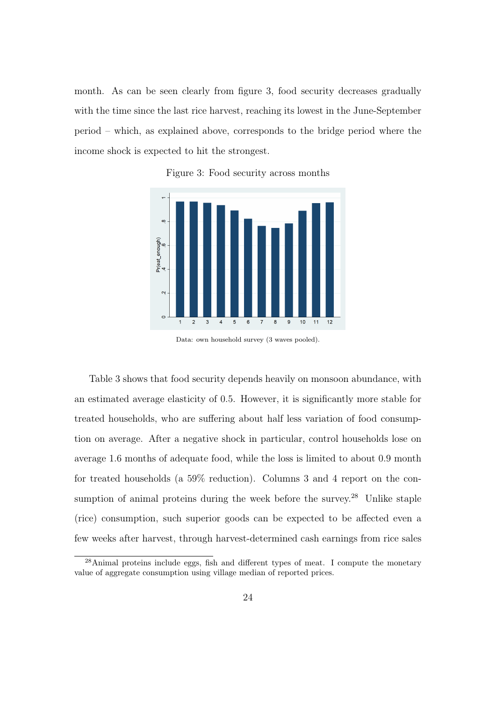month. As can be seen clearly from figure 3, food security decreases gradually with the time since the last rice harvest, reaching its lowest in the June-September period – which, as explained above, corresponds to the bridge period where the income shock is expected to hit the strongest.





Data: own household survey (3 waves pooled).

Table 3 shows that food security depends heavily on monsoon abundance, with an estimated average elasticity of 0.5. However, it is significantly more stable for treated households, who are suffering about half less variation of food consumption on average. After a negative shock in particular, control households lose on average 1.6 months of adequate food, while the loss is limited to about 0.9 month for treated households (a 59% reduction). Columns 3 and 4 report on the consumption of animal proteins during the week before the survey. $28$  Unlike staple (rice) consumption, such superior goods can be expected to be affected even a few weeks after harvest, through harvest-determined cash earnings from rice sales

 $^{28}$ Animal proteins include eggs, fish and different types of meat. I compute the monetary value of aggregate consumption using village median of reported prices.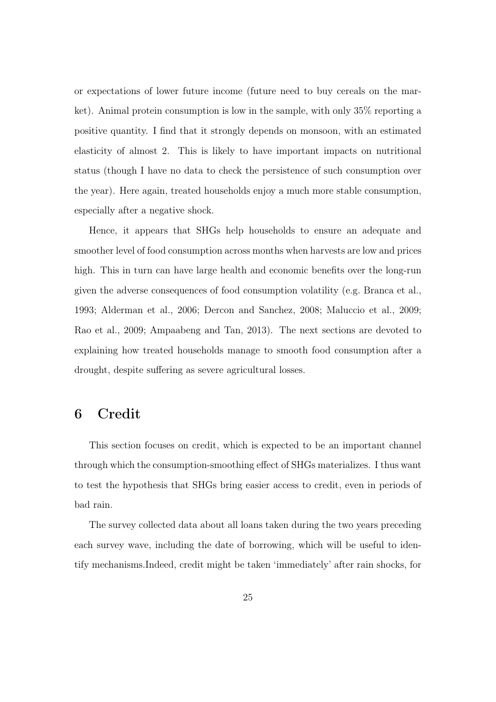or expectations of lower future income (future need to buy cereals on the market). Animal protein consumption is low in the sample, with only 35% reporting a positive quantity. I find that it strongly depends on monsoon, with an estimated elasticity of almost 2. This is likely to have important impacts on nutritional status (though I have no data to check the persistence of such consumption over the year). Here again, treated households enjoy a much more stable consumption, especially after a negative shock.

Hence, it appears that SHGs help households to ensure an adequate and smoother level of food consumption across months when harvests are low and prices high. This in turn can have large health and economic benefits over the long-run given the adverse consequences of food consumption volatility (e.g. Branca et al., 1993; Alderman et al., 2006; Dercon and Sanchez, 2008; Maluccio et al., 2009; Rao et al., 2009; Ampaabeng and Tan, 2013). The next sections are devoted to explaining how treated households manage to smooth food consumption after a drought, despite suffering as severe agricultural losses.

#### 6 Credit

This section focuses on credit, which is expected to be an important channel through which the consumption-smoothing effect of SHGs materializes. I thus want to test the hypothesis that SHGs bring easier access to credit, even in periods of bad rain.

The survey collected data about all loans taken during the two years preceding each survey wave, including the date of borrowing, which will be useful to identify mechanisms.Indeed, credit might be taken 'immediately' after rain shocks, for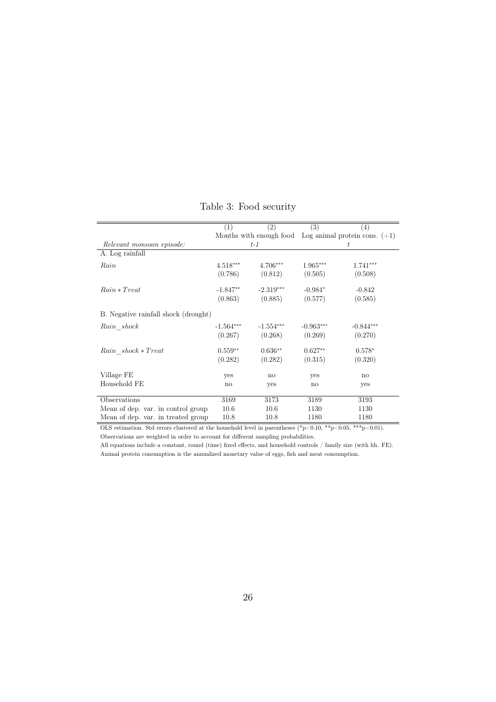|                                      | (1)          | (2)                    | (3)         | (4)                                                     |
|--------------------------------------|--------------|------------------------|-------------|---------------------------------------------------------|
|                                      |              |                        |             | Months with enough food Log animal protein cons. $(+1)$ |
| Relevant monsoon episode:            |              | $t-1$                  |             | t                                                       |
| A. Log rainfall                      |              |                        |             |                                                         |
| Rain                                 | $4.518***$   | 4.706***               | $1.965***$  | 1.741***                                                |
|                                      | (0.786)      | (0.812)                | (0.505)     | (0.508)                                                 |
| $Rain * Treat$                       | $-1.847**$   | $-2.319***$            | $-0.984*$   | $-0.842$                                                |
|                                      | (0.863)      | (0.885)                | (0.577)     | (0.585)                                                 |
| B. Negative rainfall shock (drought) |              |                        |             |                                                         |
| Rain shock                           | $-1.564***$  | $-1.554***$            | $-0.963***$ | $-0.844***$                                             |
|                                      | (0.267)      | (0.268)                | (0.269)     | (0.270)                                                 |
| Rain shock * Treat                   | $0.559**$    | $0.636**$              | $0.627**$   | $0.578*$                                                |
|                                      | (0.282)      | (0.282)                | (0.315)     | (0.320)                                                 |
| Village FE                           | yes          | $\mathop{\mathrm{no}}$ | yes         | $\mathbf{n}$                                            |
| Household FE                         | $\mathbf{n}$ | yes                    | no          | yes                                                     |
|                                      |              |                        |             |                                                         |
| Observations                         | 3169         | 3173                   | 3189        | 3193                                                    |
| Mean of dep. var. in control group   | 10.6         | 10.6                   | 1130        | 1130                                                    |
| Mean of dep. var. in treated group   | 10.8         | 10.8                   | 1180        | 1180                                                    |

Table 3: Food security

OLS estimation. Std errors clustered at the household level in parentheses  $(*p<0.10, **p<0.05, **p<0.01)$ . Observations are weighted in order to account for different sampling probabilities.

All equations include a constant, round (time) fixed effects, and household controls / family size (with hh. FE). Animal protein consumption is the annualized monetary value of eggs, fish and meat consumption.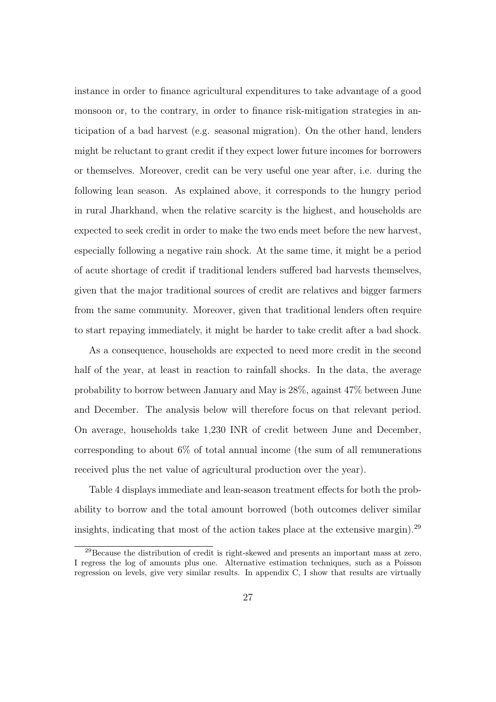instance in order to finance agricultural expenditures to take advantage of a good monsoon or, to the contrary, in order to finance risk-mitigation strategies in anticipation of a bad harvest (e.g. seasonal migration). On the other hand, lenders might be reluctant to grant credit if they expect lower future incomes for borrowers or themselves. Moreover, credit can be very useful one year after, i.e. during the following lean season. As explained above, it corresponds to the hungry period in rural Jharkhand, when the relative scarcity is the highest, and households are expected to seek credit in order to make the two ends meet before the new harvest, especially following a negative rain shock. At the same time, it might be a period of acute shortage of credit if traditional lenders suffered bad harvests themselves, given that the major traditional sources of credit are relatives and bigger farmers from the same community. Moreover, given that traditional lenders often require to start repaying immediately, it might be harder to take credit after a bad shock.

As a consequence, households are expected to need more credit in the second half of the year, at least in reaction to rainfall shocks. In the data, the average probability to borrow between January and May is 28%, against 47% between June and December. The analysis below will therefore focus on that relevant period. On average, households take 1,230 INR of credit between June and December, corresponding to about 6% of total annual income (the sum of all remunerations received plus the net value of agricultural production over the year).

Table 4 displays immediate and lean-season treatment effects for both the probability to borrow and the total amount borrowed (both outcomes deliver similar insights, indicating that most of the action takes place at the extensive margin).<sup>29</sup>

 $^{29}$ Because the distribution of credit is right-skewed and presents an important mass at zero, I regress the log of amounts plus one. Alternative estimation techniques, such as a Poisson regression on levels, give very similar results. In appendix C, I show that results are virtually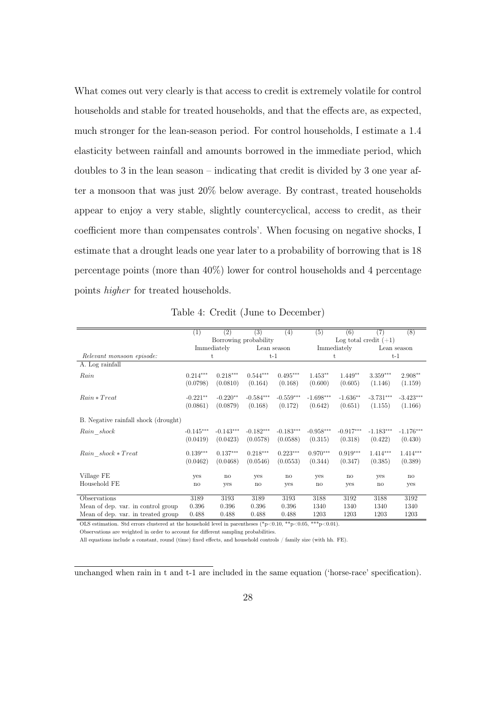What comes out very clearly is that access to credit is extremely volatile for control households and stable for treated households, and that the effects are, as expected, much stronger for the lean-season period. For control households, I estimate a 1.4 elasticity between rainfall and amounts borrowed in the immediate period, which doubles to 3 in the lean season – indicating that credit is divided by 3 one year after a monsoon that was just 20% below average. By contrast, treated households appear to enjoy a very stable, slightly countercyclical, access to credit, as their coefficient more than compensates controls'. When focusing on negative shocks, I estimate that a drought leads one year later to a probability of borrowing that is 18 percentage points (more than 40%) lower for control households and 4 percentage points higher for treated households.

|                                      | $\left( 1\right)$ | (2)                    | (3)                   | (4)          | (5)                 | (6)                     | (7)         | $\overline{(8)}$ |
|--------------------------------------|-------------------|------------------------|-----------------------|--------------|---------------------|-------------------------|-------------|------------------|
|                                      |                   |                        | Borrowing probability |              |                     | Log total credit $(+1)$ |             |                  |
|                                      |                   | Immediately            |                       | Lean season  |                     | Immediately             |             | Lean season      |
| Relevant monsoon episode:            |                   | t                      |                       | $t-1$        |                     | t                       |             | $t-1$            |
| A. Log rainfall                      |                   |                        |                       |              |                     |                         |             |                  |
| Rain                                 | $0.214***$        | $0.218***$             | $0.544***$            | $0.495***$   | $1.453**$           | $1.449**$               | $3.359***$  | $2.908**$        |
|                                      | (0.0798)          | (0.0810)               | (0.164)               | (0.168)      | (0.600)             | (0.605)                 | (1.146)     | (1.159)          |
| $Rain * Treat$                       | $-0.221**$        | $-0.220**$             | $-0.584***$           | $-0.559***$  | $-1.698***$         | $-1.636**$              | $-3.731***$ | $-3.423***$      |
|                                      | (0.0861)          | (0.0879)               | (0.168)               | (0.172)      | (0.642)             | (0.651)                 | (1.155)     | (1.166)          |
| B. Negative rainfall shock (drought) |                   |                        |                       |              |                     |                         |             |                  |
| Rain shock                           | $-0.145***$       | $-0.143***$            | $-0.182***$           | $-0.183***$  | $-0.958***$         | $-0.917***$             | $-1.183***$ | $-1.176***$      |
|                                      | (0.0419)          | (0.0423)               | (0.0578)              | (0.0588)     | (0.315)             | (0.318)                 | (0.422)     | (0.430)          |
| Rain shock * Treat                   | $0.139***$        | $0.137***$             | $0.218***$            | $0.223***$   | $0.970***$          | $0.919***$              | $1.414***$  | $1.414***$       |
|                                      | (0.0462)          | (0.0468)               | (0.0546)              | (0.0553)     | (0.344)             | (0.347)                 | (0.385)     | (0.389)          |
| Village FE                           | yes               | $\mathop{\mathrm{no}}$ | yes                   | $\mathbf{n}$ | yes                 | $\mathbf{n}$            | yes         | no               |
| Household FE                         | $\mathbf{n}$      | yes                    | no                    | yes          | $\operatorname{no}$ | yes                     | no          | yes              |
| Observations                         | 3189              | 3193                   | 3189                  | 3193         | 3188                | 3192                    | 3188        | 3192             |
| Mean of dep. var. in control group   | 0.396             | 0.396                  | 0.396                 | 0.396        | 1340                | 1340                    | 1340        | 1340             |
| Mean of dep. var. in treated group   | 0.488             | 0.488                  | 0.488                 | 0.488        | 1203                | 1203                    | 1203        | 1203             |

Table 4: Credit (June to December)

OLS estimation. Std errors clustered at the household level in parentheses (\*p<0.10, \*\*p<0.05, \*\*\*p<0.01).

Observations are weighted in order to account for different sampling probabilities.

All equations include a constant, round (time) fixed effects, and household controls / family size (with hh. FE).

unchanged when rain in t and t-1 are included in the same equation ('horse-race' specification).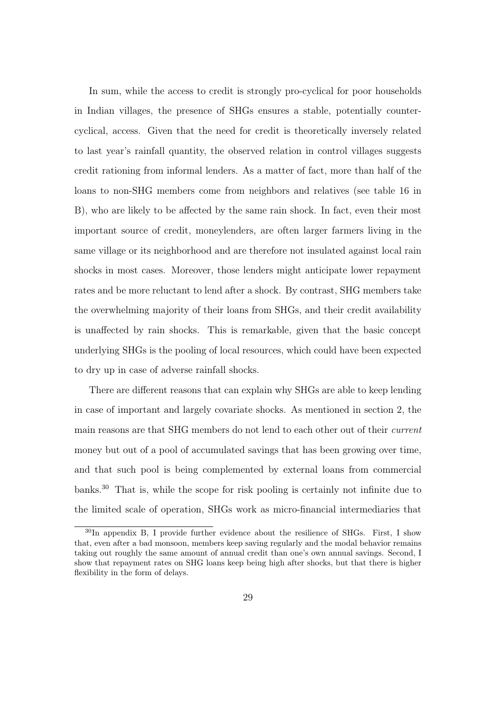In sum, while the access to credit is strongly pro-cyclical for poor households in Indian villages, the presence of SHGs ensures a stable, potentially countercyclical, access. Given that the need for credit is theoretically inversely related to last year's rainfall quantity, the observed relation in control villages suggests credit rationing from informal lenders. As a matter of fact, more than half of the loans to non-SHG members come from neighbors and relatives (see table 16 in B), who are likely to be affected by the same rain shock. In fact, even their most important source of credit, moneylenders, are often larger farmers living in the same village or its neighborhood and are therefore not insulated against local rain shocks in most cases. Moreover, those lenders might anticipate lower repayment rates and be more reluctant to lend after a shock. By contrast, SHG members take the overwhelming majority of their loans from SHGs, and their credit availability is unaffected by rain shocks. This is remarkable, given that the basic concept underlying SHGs is the pooling of local resources, which could have been expected to dry up in case of adverse rainfall shocks.

There are different reasons that can explain why SHGs are able to keep lending in case of important and largely covariate shocks. As mentioned in section 2, the main reasons are that SHG members do not lend to each other out of their current money but out of a pool of accumulated savings that has been growing over time, and that such pool is being complemented by external loans from commercial banks.<sup>30</sup> That is, while the scope for risk pooling is certainly not infinite due to the limited scale of operation, SHGs work as micro-financial intermediaries that

<sup>&</sup>lt;sup>30</sup>In appendix B, I provide further evidence about the resilience of SHGs. First, I show that, even after a bad monsoon, members keep saving regularly and the modal behavior remains taking out roughly the same amount of annual credit than one's own annual savings. Second, I show that repayment rates on SHG loans keep being high after shocks, but that there is higher flexibility in the form of delays.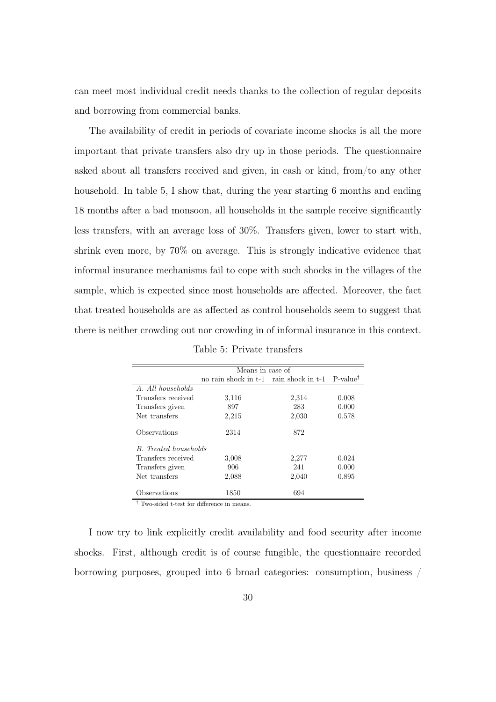can meet most individual credit needs thanks to the collection of regular deposits and borrowing from commercial banks.

The availability of credit in periods of covariate income shocks is all the more important that private transfers also dry up in those periods. The questionnaire asked about all transfers received and given, in cash or kind, from/to any other household. In table 5, I show that, during the year starting 6 months and ending 18 months after a bad monsoon, all households in the sample receive significantly less transfers, with an average loss of 30%. Transfers given, lower to start with, shrink even more, by 70% on average. This is strongly indicative evidence that informal insurance mechanisms fail to cope with such shocks in the villages of the sample, which is expected since most households are affected. Moreover, the fact that treated households are as affected as control households seem to suggest that there is neither crowding out nor crowding in of informal insurance in this context.

|                       | Means in case of                       |       |                      |  |  |  |
|-----------------------|----------------------------------------|-------|----------------------|--|--|--|
|                       | no rain shock in t-1 rain shock in t-1 |       | P-value <sup>†</sup> |  |  |  |
| A. All households     |                                        |       |                      |  |  |  |
| Transfers received    | 3,116                                  | 2,314 | 0.008                |  |  |  |
| Transfers given       | 897                                    | 283   | 0.000                |  |  |  |
| Net transfers         | 2,215                                  | 2,030 | 0.578                |  |  |  |
| Observations          | 2314                                   | 872   |                      |  |  |  |
| B. Treated households |                                        |       |                      |  |  |  |
| Transfers received    | 3,008                                  | 2,277 | 0.024                |  |  |  |
| Transfers given       | 906                                    | 241   | 0.000                |  |  |  |
| Net transfers         | 2,088                                  | 2,040 | 0.895                |  |  |  |
| Observations          | 1850                                   | 694   |                      |  |  |  |

Table 5: Private transfers

<sup>†</sup> Two-sided t-test for difference in means.

I now try to link explicitly credit availability and food security after income shocks. First, although credit is of course fungible, the questionnaire recorded borrowing purposes, grouped into 6 broad categories: consumption, business /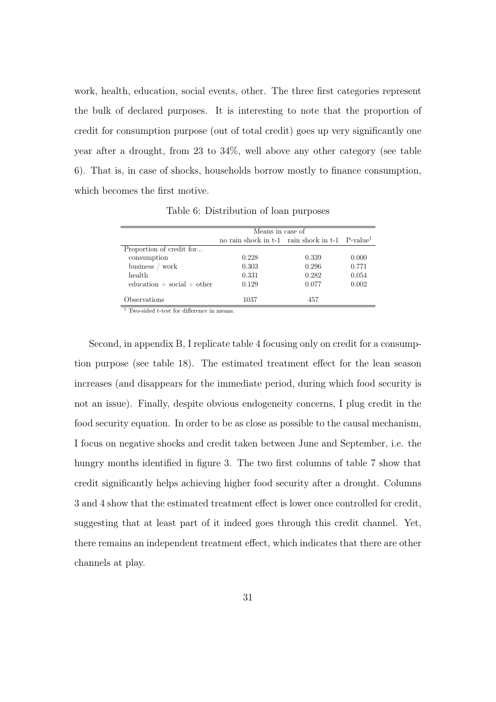work, health, education, social events, other. The three first categories represent the bulk of declared purposes. It is interesting to note that the proportion of credit for consumption purpose (out of total credit) goes up very significantly one year after a drought, from 23 to 34%, well above any other category (see table 6). That is, in case of shocks, households borrow mostly to finance consumption, which becomes the first motive.

|                             | Means in case of                                                 |       |       |  |  |
|-----------------------------|------------------------------------------------------------------|-------|-------|--|--|
|                             | no rain shock in t-1 rain shock in t-1 $\,$ P-value <sup>†</sup> |       |       |  |  |
| Proportion of credit for    |                                                                  |       |       |  |  |
| consumption                 | 0.228                                                            | 0.339 | 0.000 |  |  |
| business / work             | 0.303                                                            | 0.296 | 0.771 |  |  |
| health                      | 0.331                                                            | 0.282 | 0.054 |  |  |
| $eduction + social + other$ | 0.129                                                            | 0.077 | 0.002 |  |  |
| Observations                | 1037                                                             | 457   |       |  |  |

Table 6: Distribution of loan purposes

† Two-sided t-test for difference in means.

Second, in appendix B, I replicate table 4 focusing only on credit for a consumption purpose (see table 18). The estimated treatment effect for the lean season increases (and disappears for the immediate period, during which food security is not an issue). Finally, despite obvious endogeneity concerns, I plug credit in the food security equation. In order to be as close as possible to the causal mechanism, I focus on negative shocks and credit taken between June and September, i.e. the hungry months identified in figure 3. The two first columns of table 7 show that credit significantly helps achieving higher food security after a drought. Columns 3 and 4 show that the estimated treatment effect is lower once controlled for credit, suggesting that at least part of it indeed goes through this credit channel. Yet, there remains an independent treatment effect, which indicates that there are other channels at play.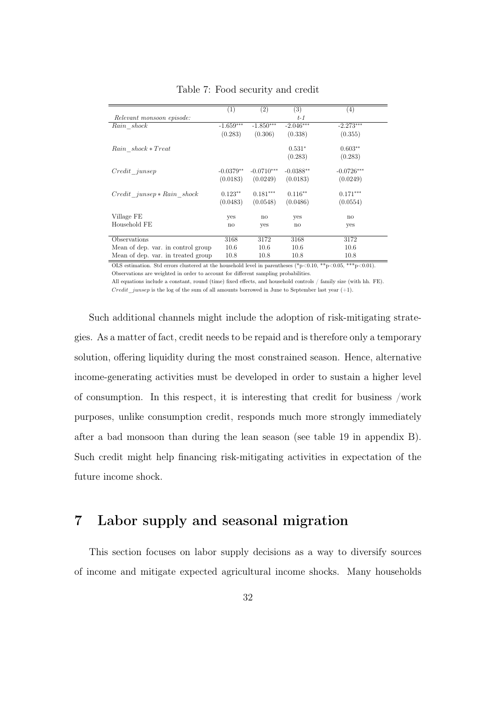|                                    | (1)          | (2)          | (3)         | (4)          |
|------------------------------------|--------------|--------------|-------------|--------------|
| Relevant monsoon episode:          |              |              | $t-1$       |              |
| Rain shock                         | $-1.659***$  | $-1.850***$  | $-2.046***$ | $-2.273***$  |
|                                    | (0.283)      | (0.306)      | (0.338)     | (0.355)      |
| Rain shock * Treat                 |              |              | $0.531*$    | $0.603**$    |
|                                    |              |              | (0.283)     | (0.283)      |
| Credit junsep                      | $-0.0379**$  | $-0.0710***$ | $-0.0388**$ | $-0.0726***$ |
|                                    | (0.0183)     | (0.0249)     | (0.0183)    | (0.0249)     |
| $Credit$ $junsep * Rain$ shock     | $0.123**$    | $0.181***$   | $0.116**$   | $0.171***$   |
|                                    | (0.0483)     | (0.0548)     | (0.0486)    | (0.0554)     |
| Village FE                         | yes          | no           | yes         | $\mathbf{n}$ |
| Household FE                       | $\mathbf{n}$ | yes          | no          | yes          |
|                                    |              |              |             |              |
| Observations                       | 3168         | 3172         | 3168        | 3172         |
| Mean of dep. var. in control group | 10.6         | 10.6         | 10.6        | 10.6         |
| Mean of dep. var. in treated group | 10.8         | 10.8         | 10.8        | 10.8         |

Table 7: Food security and credit

OLS estimation. Std errors clustered at the household level in parentheses (\*p<0.10, \*\*p<0.05, \*\*\*p<0.01). Observations are weighted in order to account for different sampling probabilities.

All equations include a constant, round (time) fixed effects, and household controls / family size (with hh. FE).

*Credit* junsep is the log of the sum of all amounts borrowed in June to September last year  $(+1)$ .

Such additional channels might include the adoption of risk-mitigating strategies. As a matter of fact, credit needs to be repaid and is therefore only a temporary solution, offering liquidity during the most constrained season. Hence, alternative income-generating activities must be developed in order to sustain a higher level of consumption. In this respect, it is interesting that credit for business /work purposes, unlike consumption credit, responds much more strongly immediately after a bad monsoon than during the lean season (see table 19 in appendix B). Such credit might help financing risk-mitigating activities in expectation of the future income shock.

# 7 Labor supply and seasonal migration

This section focuses on labor supply decisions as a way to diversify sources of income and mitigate expected agricultural income shocks. Many households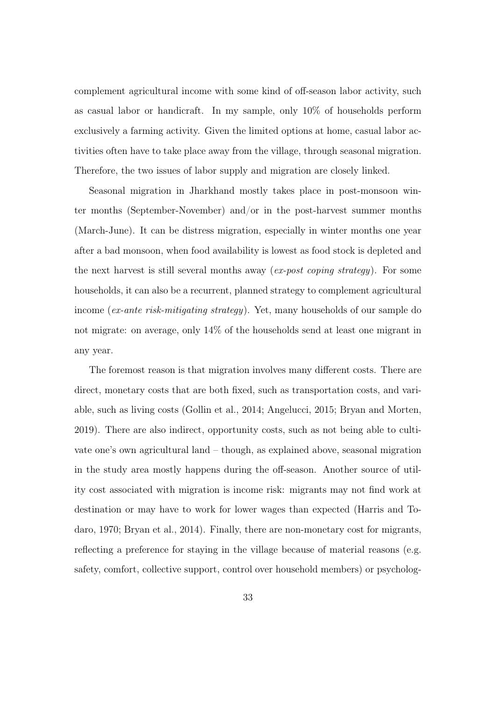complement agricultural income with some kind of off-season labor activity, such as casual labor or handicraft. In my sample, only 10% of households perform exclusively a farming activity. Given the limited options at home, casual labor activities often have to take place away from the village, through seasonal migration. Therefore, the two issues of labor supply and migration are closely linked.

Seasonal migration in Jharkhand mostly takes place in post-monsoon winter months (September-November) and/or in the post-harvest summer months (March-June). It can be distress migration, especially in winter months one year after a bad monsoon, when food availability is lowest as food stock is depleted and the next harvest is still several months away (ex-post coping strategy). For some households, it can also be a recurrent, planned strategy to complement agricultural income (ex-ante risk-mitigating strategy). Yet, many households of our sample do not migrate: on average, only 14% of the households send at least one migrant in any year.

The foremost reason is that migration involves many different costs. There are direct, monetary costs that are both fixed, such as transportation costs, and variable, such as living costs (Gollin et al., 2014; Angelucci, 2015; Bryan and Morten, 2019). There are also indirect, opportunity costs, such as not being able to cultivate one's own agricultural land – though, as explained above, seasonal migration in the study area mostly happens during the off-season. Another source of utility cost associated with migration is income risk: migrants may not find work at destination or may have to work for lower wages than expected (Harris and Todaro, 1970; Bryan et al., 2014). Finally, there are non-monetary cost for migrants, reflecting a preference for staying in the village because of material reasons (e.g. safety, comfort, collective support, control over household members) or psycholog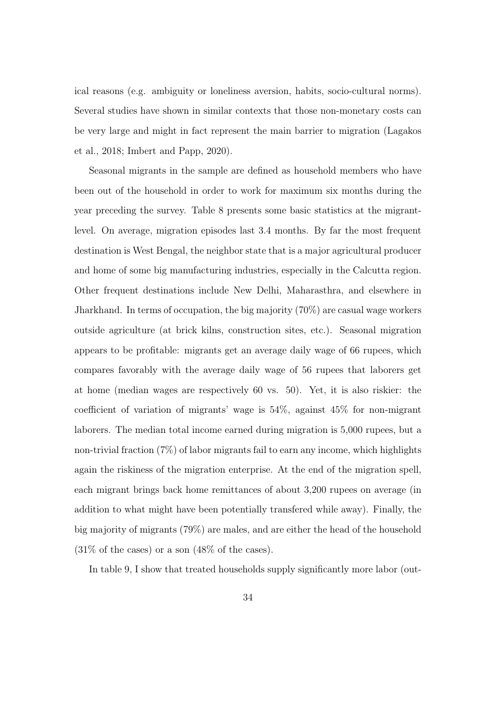ical reasons (e.g. ambiguity or loneliness aversion, habits, socio-cultural norms). Several studies have shown in similar contexts that those non-monetary costs can be very large and might in fact represent the main barrier to migration (Lagakos et al., 2018; Imbert and Papp, 2020).

Seasonal migrants in the sample are defined as household members who have been out of the household in order to work for maximum six months during the year preceding the survey. Table 8 presents some basic statistics at the migrantlevel. On average, migration episodes last 3.4 months. By far the most frequent destination is West Bengal, the neighbor state that is a major agricultural producer and home of some big manufacturing industries, especially in the Calcutta region. Other frequent destinations include New Delhi, Maharasthra, and elsewhere in Jharkhand. In terms of occupation, the big majority (70%) are casual wage workers outside agriculture (at brick kilns, construction sites, etc.). Seasonal migration appears to be profitable: migrants get an average daily wage of 66 rupees, which compares favorably with the average daily wage of 56 rupees that laborers get at home (median wages are respectively 60 vs. 50). Yet, it is also riskier: the coefficient of variation of migrants' wage is 54%, against 45% for non-migrant laborers. The median total income earned during migration is 5,000 rupees, but a non-trivial fraction (7%) of labor migrants fail to earn any income, which highlights again the riskiness of the migration enterprise. At the end of the migration spell, each migrant brings back home remittances of about 3,200 rupees on average (in addition to what might have been potentially transfered while away). Finally, the big majority of migrants (79%) are males, and are either the head of the household  $(31\% \text{ of the cases})$  or a son  $(48\% \text{ of the cases}).$ 

In table 9, I show that treated households supply significantly more labor (out-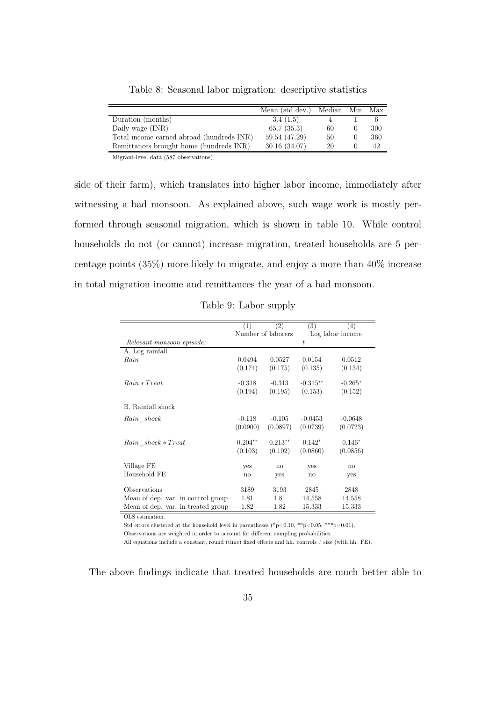|                                           | Mean (std dev.) Median Min Max |    |     |
|-------------------------------------------|--------------------------------|----|-----|
| Duration (months)                         | 3.4(1.5)                       |    |     |
| Daily wage (INR)                          | 65.7(35.3)                     | 60 | 300 |
| Total income earned abroad (hundreds INR) | 59.54 (47.29)                  | 50 | 360 |
| Remittances brought home (hundreds INR)   | 30.16(34.07)                   | 20 | 42  |
|                                           |                                |    |     |

Table 8: Seasonal labor migration: descriptive statistics

Migrant-level data (587 observations).

side of their farm), which translates into higher labor income, immediately after witnessing a bad monsoon. As explained above, such wage work is mostly performed through seasonal migration, which is shown in table 10. While control households do not (or cannot) increase migration, treated households are 5 percentage points (35%) more likely to migrate, and enjoy a more than 40% increase in total migration income and remittances the year of a bad monsoon.

|                                    | (1)          | $\left( 2\right)$  | (3)        | (4)              |
|------------------------------------|--------------|--------------------|------------|------------------|
|                                    |              | Number of laborers |            | Log labor income |
| Relevant monsoon episode:          |              |                    | t.         |                  |
| A. Log rainfall                    |              |                    |            |                  |
| Rain                               | 0.0494       | 0.0527             | 0.0154     | 0.0512           |
|                                    | (0.174)      | (0.175)            | (0.135)    | (0.134)          |
|                                    |              |                    |            |                  |
| $Rain * Treat$                     | $-0.318$     | $-0.313$           | $-0.315**$ | $-0.265*$        |
|                                    | (0.194)      | (0.195)            | (0.153)    | (0.152)          |
| B. Rainfall shock                  |              |                    |            |                  |
| Rain shock                         | $-0.118$     | $-0.105$           | $-0.0453$  | $-0.0648$        |
|                                    | (0.0900)     | (0.0897)           | (0.0739)   | (0.0723)         |
|                                    |              |                    |            |                  |
| Rain shock * Treat                 | $0.204**$    | $0.213**$          | $0.142*$   | $0.146*$         |
|                                    | (0.103)      | (0.102)            | (0.0860)   | (0.0856)         |
| Village FE                         | yes          | no                 | yes        | no               |
| Household FE                       | $\mathbf{n}$ | yes                | no         | yes              |
|                                    |              |                    |            |                  |
| Observations                       | 3189         | 3193               | 2845       | 2848             |
| Mean of dep. var. in control group | 1.81         | 1.81               | 14,558     | 14,558           |
| Mean of dep. var. in treated group | 1.82         | 1.82               | 15,333     | 15,333           |

Table 9: Labor supply

OLS estimation.

Std errors clustered at the household level in parentheses (\*p<0.10, \*\*p<0.05, \*\*\*p<0.01). Observations are weighted in order to account for different sampling probabilities.

All equations include a constant, round (time) fixed effects and hh. controls / size (with hh. FE).

The above findings indicate that treated households are much better able to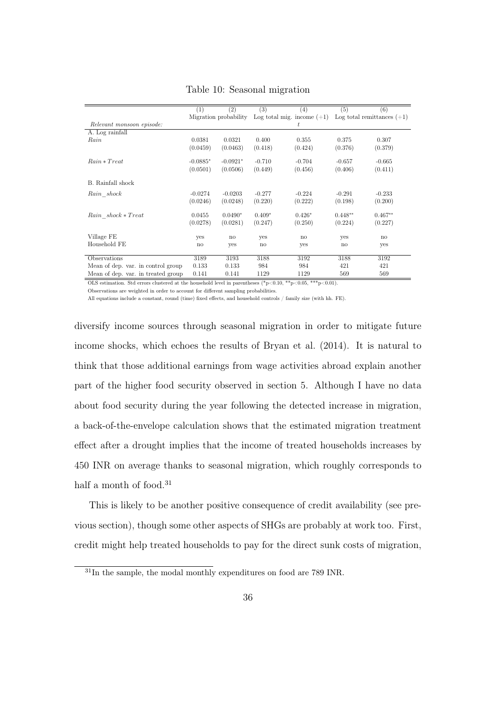|                                    | $\overline{1}$ | $\overline{(2)}$      | (3)          | (4)                          | $\overline{(5)}$ | (6)                          |
|------------------------------------|----------------|-----------------------|--------------|------------------------------|------------------|------------------------------|
|                                    |                | Migration probability |              | Log total mig. income $(+1)$ |                  | Log total remittances $(+1)$ |
| Relevant monsoon episode:          |                |                       |              | t                            |                  |                              |
| A. Log rainfall                    |                |                       |              |                              |                  |                              |
| Rain                               | 0.0381         | 0.0321                | 0.400        | 0.355                        | 0.375            | 0.307                        |
|                                    | (0.0459)       | (0.0463)              | (0.418)      | (0.424)                      | (0.376)          | (0.379)                      |
| $Rain * Treat$                     | $-0.0885*$     | $-0.0921*$            | $-0.710$     | $-0.704$                     | $-0.657$         | $-0.665$                     |
|                                    | (0.0501)       | (0.0506)              | (0.449)      | (0.456)                      | (0.406)          | (0.411)                      |
| B. Rainfall shock                  |                |                       |              |                              |                  |                              |
| Rain shock                         | $-0.0274$      | $-0.0203$             | $-0.277$     | $-0.224$                     | $-0.291$         | $-0.233$                     |
|                                    | (0.0246)       | (0.0248)              | (0.220)      | (0.222)                      | (0.198)          | (0.200)                      |
| Rain shock * Treat                 | 0.0455         | $0.0490*$             | $0.409*$     | $0.426*$                     | $0.448**$        | $0.467**$                    |
|                                    | (0.0278)       | (0.0281)              | (0.247)      | (0.250)                      | (0.224)          | (0.227)                      |
| Village FE                         | <b>ves</b>     | no                    | <b>ves</b>   | no                           | <b>ves</b>       | $\mathbf{n}$                 |
| Household FE                       | no             | <b>ves</b>            | $\mathbf{n}$ | <b>ves</b>                   | $\mathbf{n}$     | yes                          |
| Observations                       | 3189           | 3193                  | 3188         | 3192                         | 3188             | 3192                         |
| Mean of dep. var. in control group | 0.133          | 0.133                 | 984          | 984                          | 421              | 421                          |
| Mean of dep. var. in treated group | 0.141          | 0.141                 | 1129         | 1129                         | 569              | 569                          |

Table 10: Seasonal migration

OLS estimation. Std errors clustered at the household level in parentheses (\*p<0.10, \*\*p<0.05, \*\*\*p<0.01).

Observations are weighted in order to account for different sampling probabilities.

All equations include a constant, round (time) fixed effects, and household controls / family size (with hh. FE).

diversify income sources through seasonal migration in order to mitigate future income shocks, which echoes the results of Bryan et al. (2014). It is natural to think that those additional earnings from wage activities abroad explain another part of the higher food security observed in section 5. Although I have no data about food security during the year following the detected increase in migration, a back-of-the-envelope calculation shows that the estimated migration treatment effect after a drought implies that the income of treated households increases by 450 INR on average thanks to seasonal migration, which roughly corresponds to half a month of food.<sup>31</sup>

This is likely to be another positive consequence of credit availability (see previous section), though some other aspects of SHGs are probably at work too. First, credit might help treated households to pay for the direct sunk costs of migration,

 $31$ In the sample, the modal monthly expenditures on food are 789 INR.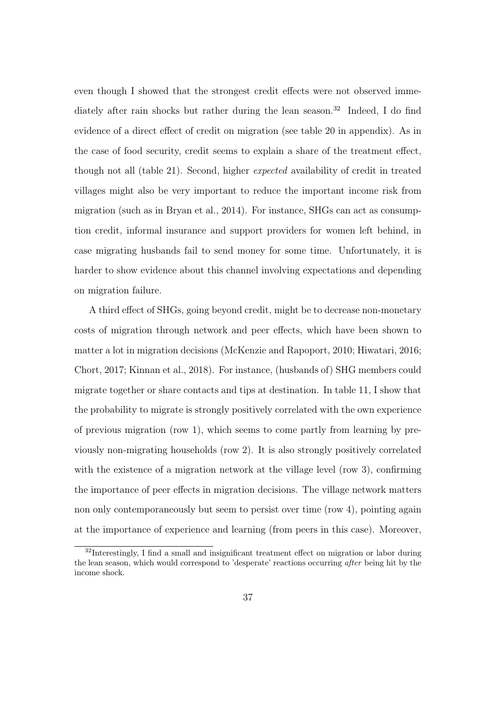even though I showed that the strongest credit effects were not observed immediately after rain shocks but rather during the lean season.<sup>32</sup> Indeed, I do find evidence of a direct effect of credit on migration (see table 20 in appendix). As in the case of food security, credit seems to explain a share of the treatment effect, though not all (table 21). Second, higher expected availability of credit in treated villages might also be very important to reduce the important income risk from migration (such as in Bryan et al., 2014). For instance, SHGs can act as consumption credit, informal insurance and support providers for women left behind, in case migrating husbands fail to send money for some time. Unfortunately, it is harder to show evidence about this channel involving expectations and depending on migration failure.

A third effect of SHGs, going beyond credit, might be to decrease non-monetary costs of migration through network and peer effects, which have been shown to matter a lot in migration decisions (McKenzie and Rapoport, 2010; Hiwatari, 2016; Chort, 2017; Kinnan et al., 2018). For instance, (husbands of) SHG members could migrate together or share contacts and tips at destination. In table 11, I show that the probability to migrate is strongly positively correlated with the own experience of previous migration (row 1), which seems to come partly from learning by previously non-migrating households (row 2). It is also strongly positively correlated with the existence of a migration network at the village level (row 3), confirming the importance of peer effects in migration decisions. The village network matters non only contemporaneously but seem to persist over time (row 4), pointing again at the importance of experience and learning (from peers in this case). Moreover,

<sup>&</sup>lt;sup>32</sup>Interestingly, I find a small and insignificant treatment effect on migration or labor during the lean season, which would correspond to 'desperate' reactions occurring after being hit by the income shock.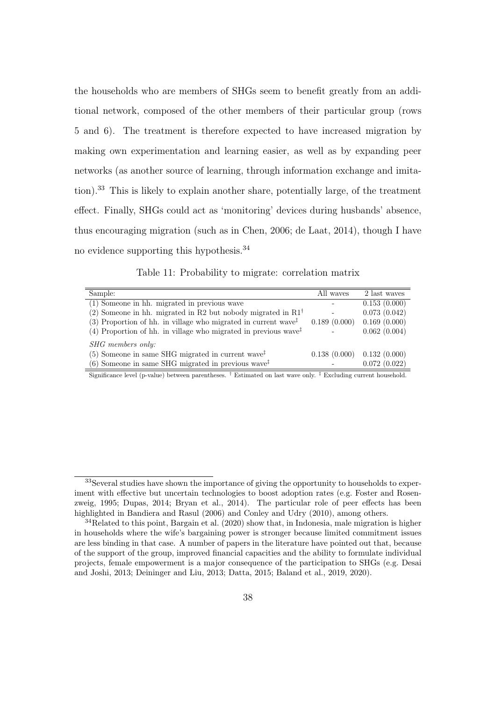the households who are members of SHGs seem to benefit greatly from an additional network, composed of the other members of their particular group (rows 5 and 6). The treatment is therefore expected to have increased migration by making own experimentation and learning easier, as well as by expanding peer networks (as another source of learning, through information exchange and imitation).<sup>33</sup> This is likely to explain another share, potentially large, of the treatment effect. Finally, SHGs could act as 'monitoring' devices during husbands' absence, thus encouraging migration (such as in Chen, 2006; de Laat, 2014), though I have no evidence supporting this hypothesis.<sup>34</sup>

Table 11: Probability to migrate: correlation matrix

| Sample:                                                                                         | All waves    | 2 last waves |
|-------------------------------------------------------------------------------------------------|--------------|--------------|
| (1) Someone in hh. migrated in previous wave                                                    |              | 0.153(0.000) |
| (2) Someone in hh. migrated in R2 but nobody migrated in $R1^{\dagger}$                         |              | 0.073(0.042) |
| (3) Proportion of hh. in village who migrated in current wave <sup><math>\ddagger</math></sup>  | 0.189(0.000) | 0.169(0.000) |
| (4) Proportion of hh. in village who migrated in previous wave <sup><math>\ddagger</math></sup> |              | 0.062(0.004) |
| SHG members only:                                                                               |              |              |
| (5) Someone in same SHG migrated in current wave <sup><math>\ddagger</math></sup>               | 0.138(0.000) | 0.132(0.000) |
| $(6)$ Someone in same SHG migrated in previous wave <sup><math>\ddagger</math></sup>            |              | 0.072(0.022) |

Significance level (p-value) between parentheses. † Estimated on last wave only. ‡ Excluding current household.

<sup>&</sup>lt;sup>33</sup>Several studies have shown the importance of giving the opportunity to households to experiment with effective but uncertain technologies to boost adoption rates (e.g. Foster and Rosenzweig, 1995; Dupas, 2014; Bryan et al., 2014). The particular role of peer effects has been highlighted in Bandiera and Rasul (2006) and Conley and Udry (2010), among others.

<sup>34</sup>Related to this point, Bargain et al. (2020) show that, in Indonesia, male migration is higher in households where the wife's bargaining power is stronger because limited commitment issues are less binding in that case. A number of papers in the literature have pointed out that, because of the support of the group, improved financial capacities and the ability to formulate individual projects, female empowerment is a major consequence of the participation to SHGs (e.g. Desai and Joshi, 2013; Deininger and Liu, 2013; Datta, 2015; Baland et al., 2019, 2020).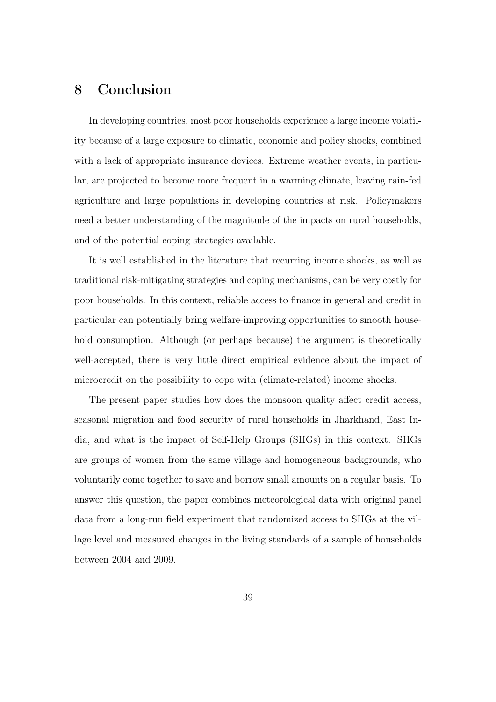#### 8 Conclusion

In developing countries, most poor households experience a large income volatility because of a large exposure to climatic, economic and policy shocks, combined with a lack of appropriate insurance devices. Extreme weather events, in particular, are projected to become more frequent in a warming climate, leaving rain-fed agriculture and large populations in developing countries at risk. Policymakers need a better understanding of the magnitude of the impacts on rural households, and of the potential coping strategies available.

It is well established in the literature that recurring income shocks, as well as traditional risk-mitigating strategies and coping mechanisms, can be very costly for poor households. In this context, reliable access to finance in general and credit in particular can potentially bring welfare-improving opportunities to smooth household consumption. Although (or perhaps because) the argument is theoretically well-accepted, there is very little direct empirical evidence about the impact of microcredit on the possibility to cope with (climate-related) income shocks.

The present paper studies how does the monsoon quality affect credit access, seasonal migration and food security of rural households in Jharkhand, East India, and what is the impact of Self-Help Groups (SHGs) in this context. SHGs are groups of women from the same village and homogeneous backgrounds, who voluntarily come together to save and borrow small amounts on a regular basis. To answer this question, the paper combines meteorological data with original panel data from a long-run field experiment that randomized access to SHGs at the village level and measured changes in the living standards of a sample of households between 2004 and 2009.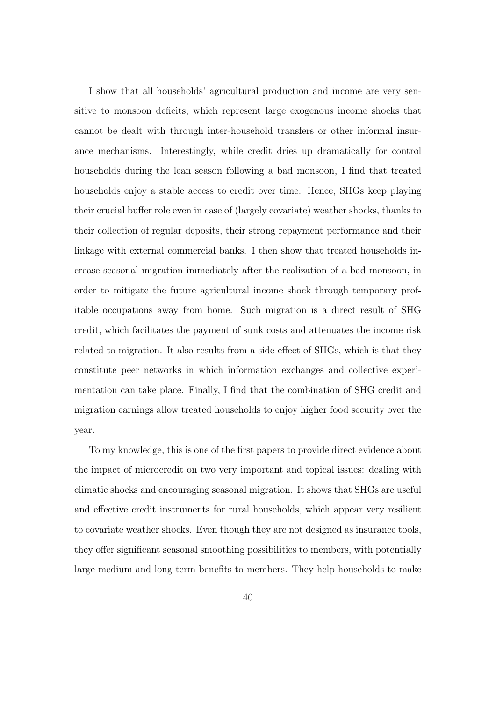I show that all households' agricultural production and income are very sensitive to monsoon deficits, which represent large exogenous income shocks that cannot be dealt with through inter-household transfers or other informal insurance mechanisms. Interestingly, while credit dries up dramatically for control households during the lean season following a bad monsoon, I find that treated households enjoy a stable access to credit over time. Hence, SHGs keep playing their crucial buffer role even in case of (largely covariate) weather shocks, thanks to their collection of regular deposits, their strong repayment performance and their linkage with external commercial banks. I then show that treated households increase seasonal migration immediately after the realization of a bad monsoon, in order to mitigate the future agricultural income shock through temporary profitable occupations away from home. Such migration is a direct result of SHG credit, which facilitates the payment of sunk costs and attenuates the income risk related to migration. It also results from a side-effect of SHGs, which is that they constitute peer networks in which information exchanges and collective experimentation can take place. Finally, I find that the combination of SHG credit and migration earnings allow treated households to enjoy higher food security over the year.

To my knowledge, this is one of the first papers to provide direct evidence about the impact of microcredit on two very important and topical issues: dealing with climatic shocks and encouraging seasonal migration. It shows that SHGs are useful and effective credit instruments for rural households, which appear very resilient to covariate weather shocks. Even though they are not designed as insurance tools, they offer significant seasonal smoothing possibilities to members, with potentially large medium and long-term benefits to members. They help households to make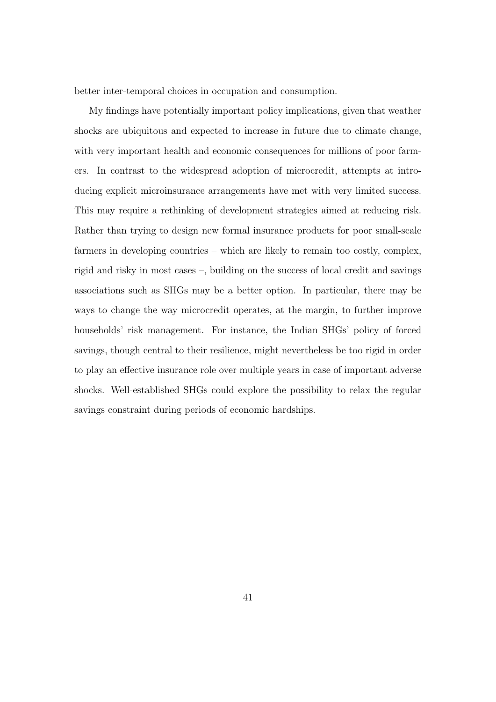better inter-temporal choices in occupation and consumption.

My findings have potentially important policy implications, given that weather shocks are ubiquitous and expected to increase in future due to climate change, with very important health and economic consequences for millions of poor farmers. In contrast to the widespread adoption of microcredit, attempts at introducing explicit microinsurance arrangements have met with very limited success. This may require a rethinking of development strategies aimed at reducing risk. Rather than trying to design new formal insurance products for poor small-scale farmers in developing countries – which are likely to remain too costly, complex, rigid and risky in most cases –, building on the success of local credit and savings associations such as SHGs may be a better option. In particular, there may be ways to change the way microcredit operates, at the margin, to further improve households' risk management. For instance, the Indian SHGs' policy of forced savings, though central to their resilience, might nevertheless be too rigid in order to play an effective insurance role over multiple years in case of important adverse shocks. Well-established SHGs could explore the possibility to relax the regular savings constraint during periods of economic hardships.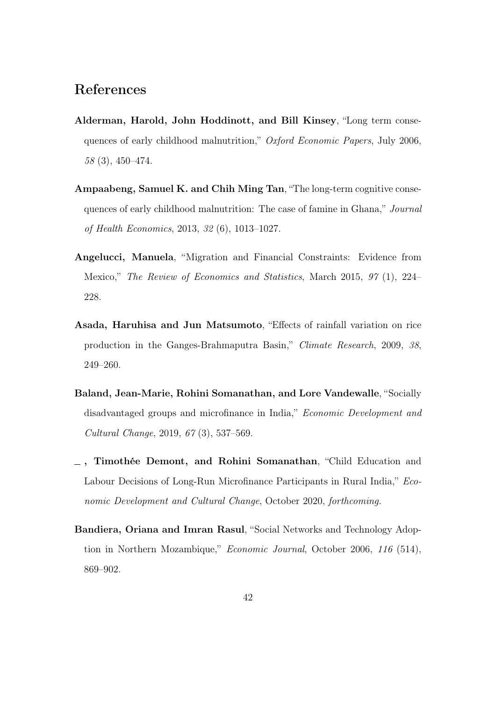## References

- Alderman, Harold, John Hoddinott, and Bill Kinsey, "Long term consequences of early childhood malnutrition," Oxford Economic Papers, July 2006, 58 (3), 450–474.
- Ampaabeng, Samuel K. and Chih Ming Tan, "The long-term cognitive consequences of early childhood malnutrition: The case of famine in Ghana," Journal of Health Economics, 2013, 32 (6), 1013–1027.
- Angelucci, Manuela, "Migration and Financial Constraints: Evidence from Mexico," The Review of Economics and Statistics, March 2015, 97 (1), 224– 228.
- Asada, Haruhisa and Jun Matsumoto, "Effects of rainfall variation on rice production in the Ganges-Brahmaputra Basin," Climate Research, 2009, 38, 249–260.
- Baland, Jean-Marie, Rohini Somanathan, and Lore Vandewalle, "Socially disadvantaged groups and microfinance in India," Economic Development and Cultural Change, 2019, 67 (3), 537–569.
- , Timothée Demont, and Rohini Somanathan, "Child Education and Labour Decisions of Long-Run Microfinance Participants in Rural India," Economic Development and Cultural Change, October 2020, forthcoming.
- Bandiera, Oriana and Imran Rasul, "Social Networks and Technology Adoption in Northern Mozambique," Economic Journal, October 2006, 116 (514), 869–902.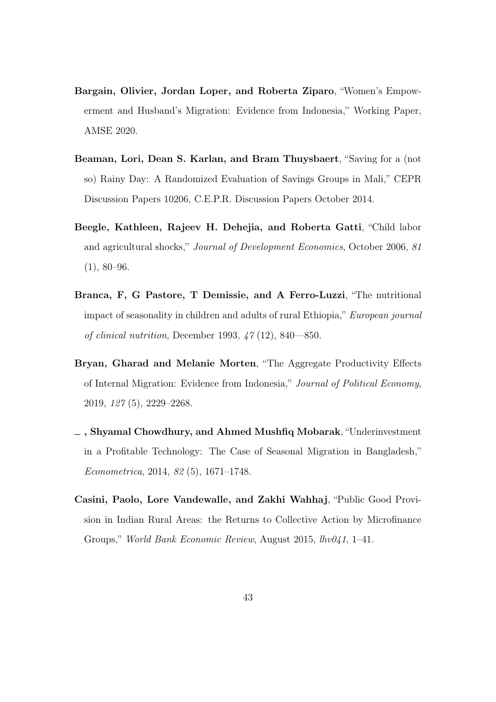- Bargain, Olivier, Jordan Loper, and Roberta Ziparo, "Women's Empowerment and Husband's Migration: Evidence from Indonesia," Working Paper, AMSE 2020.
- Beaman, Lori, Dean S. Karlan, and Bram Thuysbaert, "Saving for a (not so) Rainy Day: A Randomized Evaluation of Savings Groups in Mali," CEPR Discussion Papers 10206, C.E.P.R. Discussion Papers October 2014.
- Beegle, Kathleen, Rajeev H. Dehejia, and Roberta Gatti, "Child labor and agricultural shocks," Journal of Development Economics, October 2006, 81  $(1), 80-96.$
- Branca, F, G Pastore, T Demissie, and A Ferro-Luzzi, "The nutritional impact of seasonality in children and adults of rural Ethiopia," European journal of clinical nutrition, December 1993, 47 (12), 840—850.
- Bryan, Gharad and Melanie Morten, "The Aggregate Productivity Effects of Internal Migration: Evidence from Indonesia," Journal of Political Economy, 2019, 127 (5), 2229–2268.
- , Shyamal Chowdhury, and Ahmed Mushfiq Mobarak, "Underinvestment in a Profitable Technology: The Case of Seasonal Migration in Bangladesh," Econometrica, 2014, 82 (5), 1671–1748.
- Casini, Paolo, Lore Vandewalle, and Zakhi Wahhaj, "Public Good Provision in Indian Rural Areas: the Returns to Collective Action by Microfinance Groups," World Bank Economic Review, August 2015, lhv041, 1–41.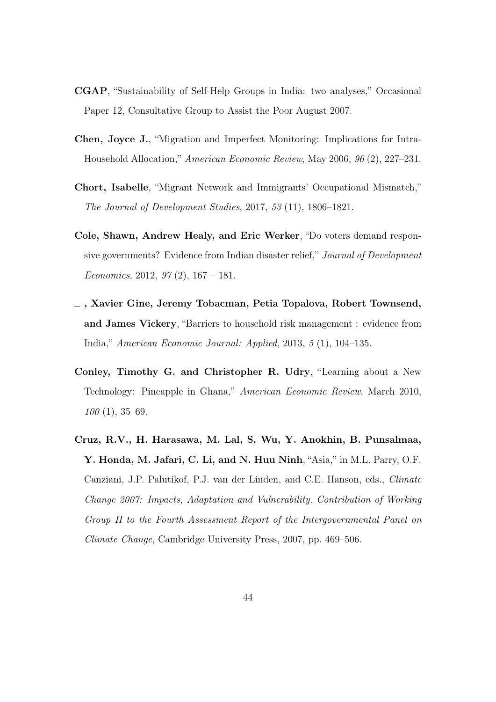- CGAP, "Sustainability of Self-Help Groups in India: two analyses," Occasional Paper 12, Consultative Group to Assist the Poor August 2007.
- Chen, Joyce J., "Migration and Imperfect Monitoring: Implications for Intra-Household Allocation," American Economic Review, May 2006, 96 (2), 227–231.
- Chort, Isabelle, "Migrant Network and Immigrants' Occupational Mismatch," The Journal of Development Studies, 2017, 53 (11), 1806–1821.
- Cole, Shawn, Andrew Healy, and Eric Werker, "Do voters demand responsive governments? Evidence from Indian disaster relief," Journal of Development Economics, 2012, 97 $(2)$ , 167 – 181.
- , Xavier Gine, Jeremy Tobacman, Petia Topalova, Robert Townsend, and James Vickery, "Barriers to household risk management : evidence from India," American Economic Journal: Applied, 2013, 5 (1), 104–135.
- Conley, Timothy G. and Christopher R. Udry, "Learning about a New Technology: Pineapple in Ghana," American Economic Review, March 2010,  $100(1), 35-69.$
- Cruz, R.V., H. Harasawa, M. Lal, S. Wu, Y. Anokhin, B. Punsalmaa, Y. Honda, M. Jafari, C. Li, and N. Huu Ninh, "Asia," in M.L. Parry, O.F. Canziani, J.P. Palutikof, P.J. van der Linden, and C.E. Hanson, eds., Climate Change 2007: Impacts, Adaptation and Vulnerability. Contribution of Working Group II to the Fourth Assessment Report of the Intergovernmental Panel on Climate Change, Cambridge University Press, 2007, pp. 469–506.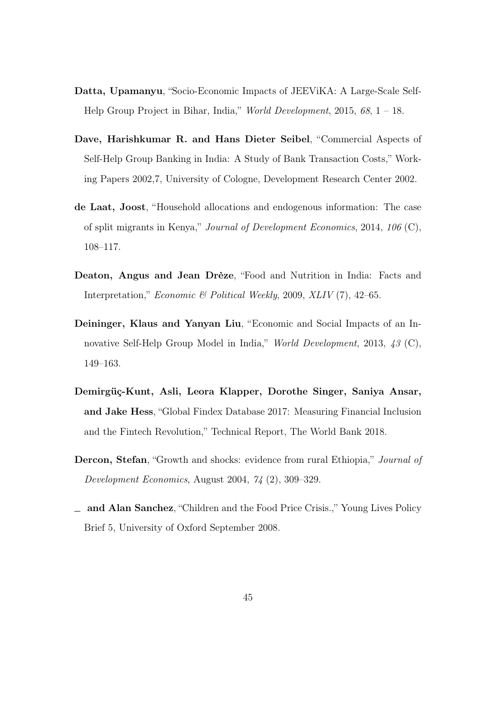- Datta, Upamanyu, "Socio-Economic Impacts of JEEViKA: A Large-Scale Self-Help Group Project in Bihar, India," World Development, 2015, 68, 1 – 18.
- Dave, Harishkumar R. and Hans Dieter Seibel, "Commercial Aspects of Self-Help Group Banking in India: A Study of Bank Transaction Costs," Working Papers 2002,7, University of Cologne, Development Research Center 2002.
- de Laat, Joost, "Household allocations and endogenous information: The case of split migrants in Kenya," Journal of Development Economics, 2014, 106 (C), 108–117.
- Deaton, Angus and Jean Drèze, "Food and Nutrition in India: Facts and Interpretation," Economic & Political Weekly, 2009, XLIV (7), 42–65.
- Deininger, Klaus and Yanyan Liu, "Economic and Social Impacts of an Innovative Self-Help Group Model in India," World Development, 2013, 43 (C), 149–163.
- Demirgüç-Kunt, Asli, Leora Klapper, Dorothe Singer, Saniya Ansar, and Jake Hess, "Global Findex Database 2017: Measuring Financial Inclusion and the Fintech Revolution," Technical Report, The World Bank 2018.
- Dercon, Stefan, "Growth and shocks: evidence from rural Ethiopia," Journal of Development Economics, August 2004, 74 (2), 309–329.
- and Alan Sanchez, "Children and the Food Price Crisis.," Young Lives Policy Brief 5, University of Oxford September 2008.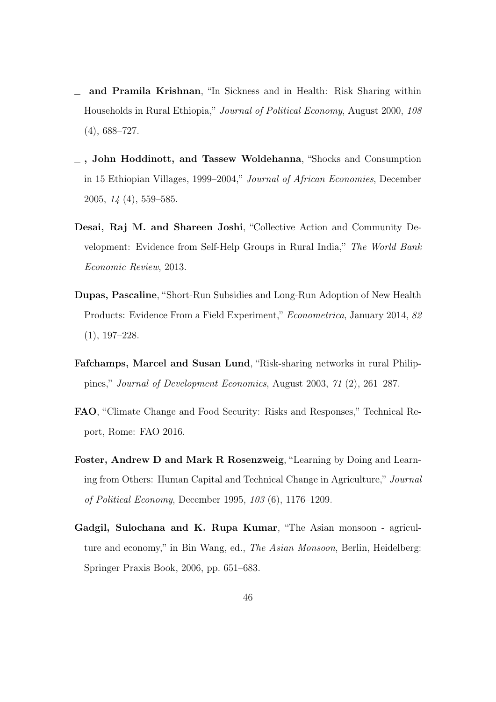- and Pramila Krishnan, "In Sickness and in Health: Risk Sharing within Households in Rural Ethiopia," Journal of Political Economy, August 2000, 108  $(4), 688 - 727.$
- , John Hoddinott, and Tassew Woldehanna, "Shocks and Consumption in 15 Ethiopian Villages, 1999–2004," Journal of African Economies, December 2005, 14 (4), 559–585.
- Desai, Raj M. and Shareen Joshi, "Collective Action and Community Development: Evidence from Self-Help Groups in Rural India," The World Bank Economic Review, 2013.
- Dupas, Pascaline, "Short-Run Subsidies and Long-Run Adoption of New Health Products: Evidence From a Field Experiment," Econometrica, January 2014, 82 (1), 197–228.
- Fafchamps, Marcel and Susan Lund, "Risk-sharing networks in rural Philippines," Journal of Development Economics, August 2003, 71 (2), 261–287.
- FAO, "Climate Change and Food Security: Risks and Responses," Technical Report, Rome: FAO 2016.
- Foster, Andrew D and Mark R Rosenzweig, "Learning by Doing and Learning from Others: Human Capital and Technical Change in Agriculture," Journal of Political Economy, December 1995, 103 (6), 1176–1209.
- Gadgil, Sulochana and K. Rupa Kumar, "The Asian monsoon agriculture and economy," in Bin Wang, ed., The Asian Monsoon, Berlin, Heidelberg: Springer Praxis Book, 2006, pp. 651–683.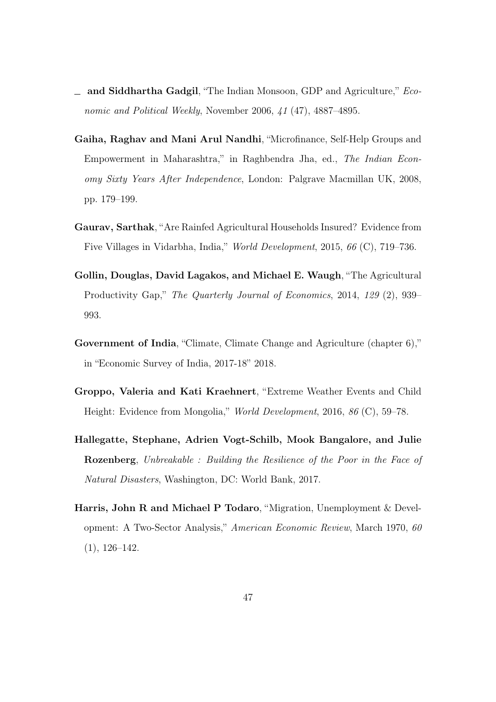- and Siddhartha Gadgil, "The Indian Monsoon, GDP and Agriculture," Economic and Political Weekly, November 2006, 41 (47), 4887–4895.
- Gaiha, Raghav and Mani Arul Nandhi, "Microfinance, Self-Help Groups and Empowerment in Maharashtra," in Raghbendra Jha, ed., The Indian Economy Sixty Years After Independence, London: Palgrave Macmillan UK, 2008, pp. 179–199.
- Gaurav, Sarthak, "Are Rainfed Agricultural Households Insured? Evidence from Five Villages in Vidarbha, India," World Development, 2015, 66 (C), 719–736.
- Gollin, Douglas, David Lagakos, and Michael E. Waugh, "The Agricultural Productivity Gap," The Quarterly Journal of Economics, 2014, 129 (2), 939– 993.
- Government of India, "Climate, Climate Change and Agriculture (chapter 6)," in "Economic Survey of India, 2017-18" 2018.
- Groppo, Valeria and Kati Kraehnert, "Extreme Weather Events and Child Height: Evidence from Mongolia," World Development, 2016, 86 (C), 59–78.
- Hallegatte, Stephane, Adrien Vogt-Schilb, Mook Bangalore, and Julie Rozenberg, Unbreakable : Building the Resilience of the Poor in the Face of Natural Disasters, Washington, DC: World Bank, 2017.
- Harris, John R and Michael P Todaro, "Migration, Unemployment & Development: A Two-Sector Analysis," American Economic Review, March 1970, 60 (1), 126–142.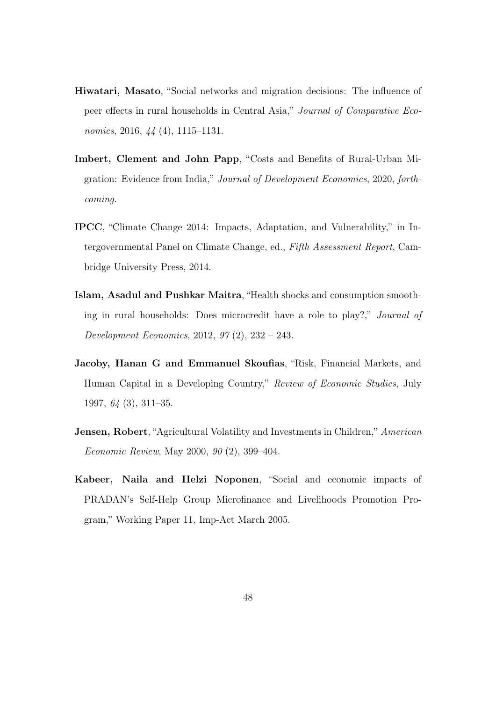- Hiwatari, Masato, "Social networks and migration decisions: The influence of peer effects in rural households in Central Asia," Journal of Comparative Economics, 2016, 44 (4), 1115–1131.
- Imbert, Clement and John Papp, "Costs and Benefits of Rural-Urban Migration: Evidence from India," Journal of Development Economics, 2020, forthcoming.
- IPCC, "Climate Change 2014: Impacts, Adaptation, and Vulnerability," in Intergovernmental Panel on Climate Change, ed., Fifth Assessment Report, Cambridge University Press, 2014.
- Islam, Asadul and Pushkar Maitra, "Health shocks and consumption smoothing in rural households: Does microcredit have a role to play?," Journal of Development Economics, 2012, 97 (2), 232 – 243.
- Jacoby, Hanan G and Emmanuel Skoufias, "Risk, Financial Markets, and Human Capital in a Developing Country," Review of Economic Studies, July 1997, 64 (3), 311–35.
- **Jensen, Robert**, "Agricultural Volatility and Investments in Children," American Economic Review, May 2000, 90 (2), 399–404.
- Kabeer, Naila and Helzi Noponen, "Social and economic impacts of PRADAN's Self-Help Group Microfinance and Livelihoods Promotion Program," Working Paper 11, Imp-Act March 2005.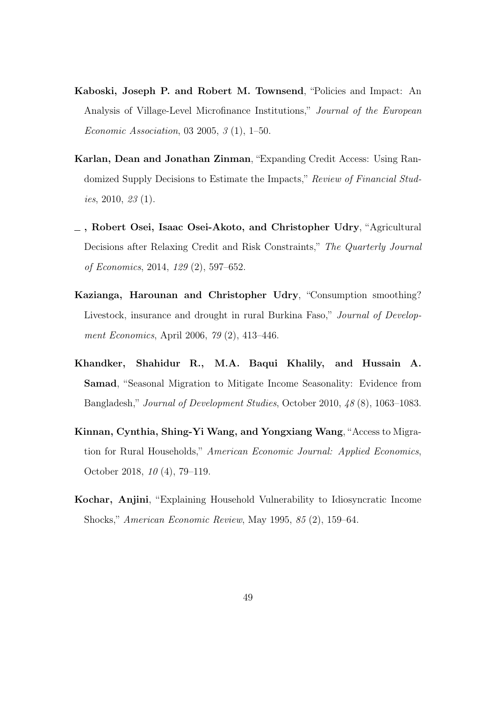- Kaboski, Joseph P. and Robert M. Townsend, "Policies and Impact: An Analysis of Village-Level Microfinance Institutions," Journal of the European Economic Association, 03 2005, 3 (1), 1–50.
- Karlan, Dean and Jonathan Zinman, "Expanding Credit Access: Using Randomized Supply Decisions to Estimate the Impacts," Review of Financial Studies, 2010, 23 (1).
- , Robert Osei, Isaac Osei-Akoto, and Christopher Udry, "Agricultural Decisions after Relaxing Credit and Risk Constraints," The Quarterly Journal of Economics, 2014, 129 (2), 597–652.
- Kazianga, Harounan and Christopher Udry, "Consumption smoothing? Livestock, insurance and drought in rural Burkina Faso," Journal of Development Economics, April 2006, 79 (2), 413–446.
- Khandker, Shahidur R., M.A. Baqui Khalily, and Hussain A. Samad, "Seasonal Migration to Mitigate Income Seasonality: Evidence from Bangladesh," Journal of Development Studies, October 2010, 48 (8), 1063–1083.
- Kinnan, Cynthia, Shing-Yi Wang, and Yongxiang Wang, "Access to Migration for Rural Households," American Economic Journal: Applied Economics, October 2018, 10 (4), 79–119.
- Kochar, Anjini, "Explaining Household Vulnerability to Idiosyncratic Income Shocks," American Economic Review, May 1995, 85 (2), 159–64.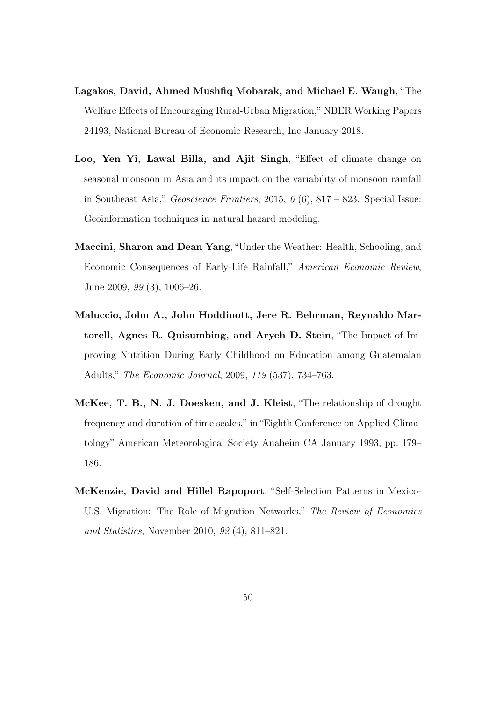- Lagakos, David, Ahmed Mushfiq Mobarak, and Michael E. Waugh, "The Welfare Effects of Encouraging Rural-Urban Migration," NBER Working Papers 24193, National Bureau of Economic Research, Inc January 2018.
- Loo, Yen Yi, Lawal Billa, and Ajit Singh, "Effect of climate change on seasonal monsoon in Asia and its impact on the variability of monsoon rainfall in Southeast Asia," Geoscience Frontiers, 2015,  $6(6)$ , 817 – 823. Special Issue: Geoinformation techniques in natural hazard modeling.
- Maccini, Sharon and Dean Yang, "Under the Weather: Health, Schooling, and Economic Consequences of Early-Life Rainfall," American Economic Review, June 2009, 99 (3), 1006–26.
- Maluccio, John A., John Hoddinott, Jere R. Behrman, Reynaldo Martorell, Agnes R. Quisumbing, and Aryeh D. Stein, "The Impact of Improving Nutrition During Early Childhood on Education among Guatemalan Adults," The Economic Journal, 2009, 119 (537), 734–763.
- McKee, T. B., N. J. Doesken, and J. Kleist, "The relationship of drought frequency and duration of time scales," in "Eighth Conference on Applied Climatology" American Meteorological Society Anaheim CA January 1993, pp. 179– 186.
- McKenzie, David and Hillel Rapoport, "Self-Selection Patterns in Mexico-U.S. Migration: The Role of Migration Networks," The Review of Economics and Statistics, November 2010, 92 (4), 811–821.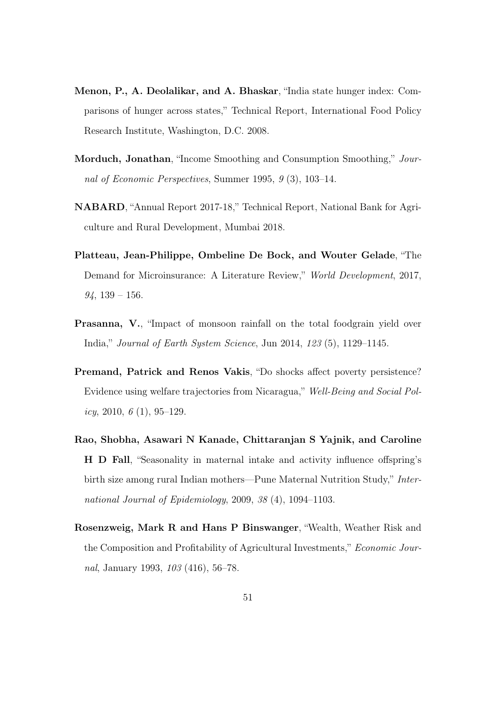- Menon, P., A. Deolalikar, and A. Bhaskar, "India state hunger index: Comparisons of hunger across states," Technical Report, International Food Policy Research Institute, Washington, D.C. 2008.
- Morduch, Jonathan, "Income Smoothing and Consumption Smoothing," Journal of Economic Perspectives, Summer 1995, 9 (3), 103–14.
- NABARD, "Annual Report 2017-18," Technical Report, National Bank for Agriculture and Rural Development, Mumbai 2018.
- Platteau, Jean-Philippe, Ombeline De Bock, and Wouter Gelade, "The Demand for Microinsurance: A Literature Review," World Development, 2017,  $94, 139 - 156.$
- Prasanna, V., "Impact of monsoon rainfall on the total foodgrain yield over India," Journal of Earth System Science, Jun 2014, 123 (5), 1129–1145.
- Premand, Patrick and Renos Vakis, "Do shocks affect poverty persistence? Evidence using welfare trajectories from Nicaragua," Well-Being and Social Pol $icy, 2010, 6(1), 95-129.$
- Rao, Shobha, Asawari N Kanade, Chittaranjan S Yajnik, and Caroline H D Fall, "Seasonality in maternal intake and activity influence offspring's birth size among rural Indian mothers—Pune Maternal Nutrition Study," International Journal of Epidemiology, 2009, 38 (4), 1094–1103.
- Rosenzweig, Mark R and Hans P Binswanger, "Wealth, Weather Risk and the Composition and Profitability of Agricultural Investments," Economic Journal, January 1993, 103 (416), 56–78.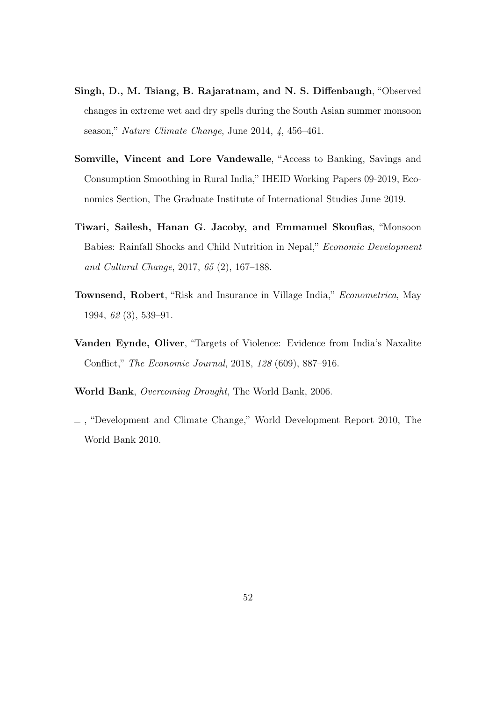- Singh, D., M. Tsiang, B. Rajaratnam, and N. S. Diffenbaugh, "Observed changes in extreme wet and dry spells during the South Asian summer monsoon season," Nature Climate Change, June 2014, 4, 456–461.
- Somville, Vincent and Lore Vandewalle, "Access to Banking, Savings and Consumption Smoothing in Rural India," IHEID Working Papers 09-2019, Economics Section, The Graduate Institute of International Studies June 2019.
- Tiwari, Sailesh, Hanan G. Jacoby, and Emmanuel Skoufias, "Monsoon Babies: Rainfall Shocks and Child Nutrition in Nepal," Economic Development and Cultural Change, 2017, 65 (2), 167–188.
- Townsend, Robert, "Risk and Insurance in Village India," Econometrica, May 1994, 62 (3), 539–91.
- Vanden Eynde, Oliver, "Targets of Violence: Evidence from India's Naxalite Conflict," The Economic Journal, 2018, 128 (609), 887–916.
- World Bank, Overcoming Drought, The World Bank, 2006.
- , "Development and Climate Change," World Development Report 2010, The World Bank 2010.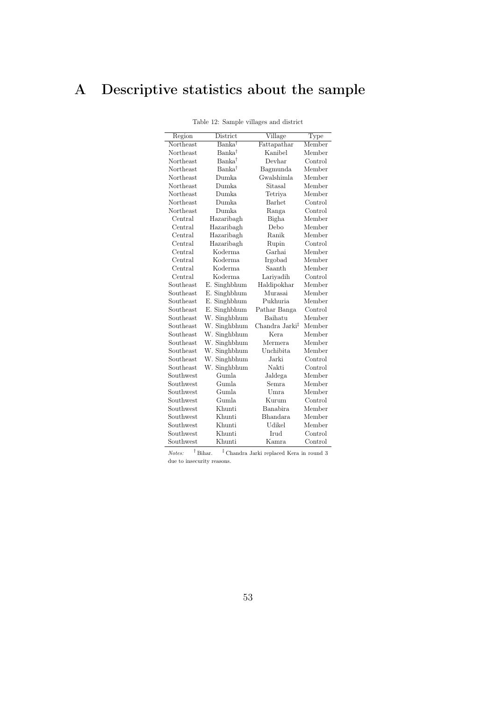# A Descriptive statistics about the sample

| Region    | District           | Village        | Type    |
|-----------|--------------------|----------------|---------|
| Northeast | $Banka^{\dagger}$  | Fattapathar    | Member  |
| Northeast | Banka†             | Kanibel        | Member  |
| Northeast | Banka <sup>†</sup> | Devhar         | Control |
| Northeast | Banka <sup>†</sup> | Bagmunda       | Member  |
| Northeast | Dumka.             | Gwalshimla     | Member  |
| Northeast | Dumka.             | Sitasal        | Member  |
| Northeast | Dumka.             | Tetriya        | Member  |
| Northeast | Dumka.             | Barhet         | Control |
| Northeast | Dumka              | Ranga          | Control |
| Central   | Hazaribagh         | Bigha          | Member  |
| Central   | Hazaribagh         | Debo           | Member  |
| Central   | Hazaribagh         | Ranik          | Member  |
| Central   | Hazaribagh         | Rupin          | Control |
| Central   | Koderma            | Garhai         | Member  |
| Central   | Koderma            | Irgobad        | Member  |
| Central   | Koderma            | Saanth         | Member  |
| Central   | Koderma            | Lariyadih      | Control |
| Southeast | E. Singhbhum       | Haldipokhar    | Member  |
| Southeast | E. Singhbhum       | Murasai        | Member  |
| Southeast | E. Singhbhum       | Pukhuria       | Member  |
| Southeast | E. Singhbhum       | Pathar Banga   | Control |
| Southeast | W. Singhbhum       | Baihatu        | Member  |
| Southeast | W. Singhbhum       | Chandra Jarki‡ | Member  |
| Southeast | W. Singhbhum       | Kera           | Member  |
| Southeast | W. Singhbhum       | Mermera.       | Member  |
| Southeast | W. Singhbhum       | Unchibita      | Member  |
| Southeast | W. Singhbhum       | Jarki          | Control |
| Southeast | W. Singhbhum       | Nakti          | Control |
| Southwest | Gumla              | Jaldega        | Member  |
| Southwest | Gumla              | Semra          | Member  |
| Southwest | Gumla              | Umra           | Member  |
| Southwest | Gumla              | Kurum          | Control |
| Southwest | Khunti             | Banabira       | Member  |
| Southwest | Khunti             | Bhandara       | Member  |
| Southwest | Khunti             | Udikel         | Member  |
| Southwest | Khunti             | Irud           | Control |
| Southwest | Khunti             | <b>Kamra</b>   | Control |

Table 12: Sample villages and district

 $Notes:$   $\quad$   $^\dagger$  Bihar.  $\quad$   $^\ddagger$  Chandra Jarki replaced Kera in round  $3$ due to insecurity reasons.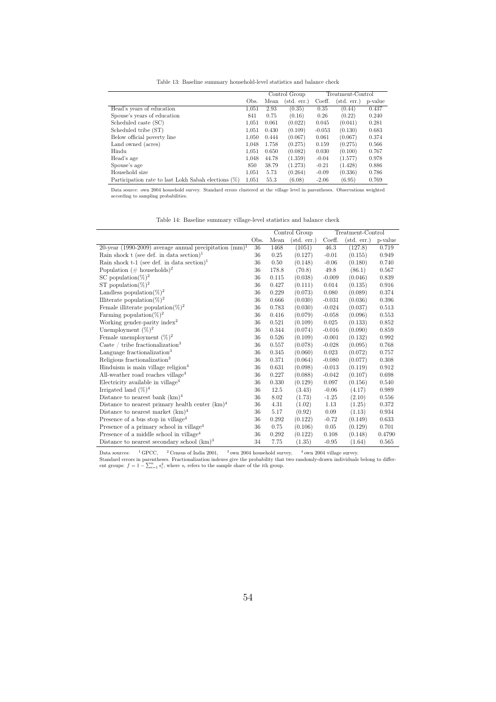Table 13: Baseline summary household-level statistics and balance check

|                                                        |       | Control Group |             | Treatment-Control |             |         |
|--------------------------------------------------------|-------|---------------|-------------|-------------------|-------------|---------|
|                                                        | Obs.  | Mean          | (std. err.) | Coeff.            | (std. err.) | p-value |
| Head's years of education                              | 1.051 | 2.93          | (0.35)      | 0.35              | (0.44)      | 0.437   |
| Spouse's years of education                            | 841   | 0.75          | (0.16)      | 0.26              | (0.22)      | 0.240   |
| Scheduled caste (SC)                                   | 1.051 | 0.061         | (0.022)     | 0.045             | (0.041)     | 0.281   |
| Scheduled tribe (ST)                                   | 1.051 | 0.430         | (0.109)     | $-0.053$          | (0.130)     | 0.683   |
| Below official poverty line                            | 1.050 | 0.444         | (0.067)     | 0.061             | (0.067)     | 0.374   |
| Land owned (acres)                                     | 1.048 | 1.758         | (0.275)     | 0.159             | (0.275)     | 0.566   |
| Hindu                                                  | 1.051 | 0.650         | (0.082)     | 0.030             | (0.100)     | 0.767   |
| Head's age                                             | 1.048 | 44.78         | (1.359)     | $-0.04$           | (1.577)     | 0.978   |
| Spouse's age                                           | 850   | 38.79         | (1.273)     | $-0.21$           | (1.428)     | 0.886   |
| Household size                                         | 1.051 | 5.73          | (0.264)     | $-0.09$           | (0.336)     | 0.786   |
| Participation rate to last Lokh Sabah elections $(\%)$ | 1.051 | 55.3          | (6.08)      | $-2.06$           | (6.95)      | 0.769   |

Data source: own 2004 household survey. Standard errors clustered at the village level in parentheses. Observations weighted according to sampling probabilities.

Table 14: Baseline summary village-level statistics and balance check

|                                                           |      | Control Group |                      |          | Treatment-Control    |         |
|-----------------------------------------------------------|------|---------------|----------------------|----------|----------------------|---------|
|                                                           | Obs. | Mean          | $(\text{std. err.})$ | Coeff.   | $(\text{std. err.})$ | p-value |
| 20-year (1990-2009) average annual precipitation $(mm)^1$ | 36   | 1468          | (1051)               | 46.3     | (127.8)              | 0.719   |
| Rain shock t (see def. in data section) <sup>1</sup>      | 36   | 0.25          | (0.127)              | $-0.01$  | (0.155)              | 0.949   |
| Rain shock t-1 (see def. in data section) <sup>1</sup>    | 36   | 0.50          | (0.148)              | $-0.06$  | (0.180)              | 0.740   |
| Population (# households) <sup>2</sup>                    | 36   | 178.8         | (70.8)               | 49.8     | (86.1)               | 0.567   |
| SC population $(\%)^2$                                    | 36   | 0.115         | (0.038)              | $-0.009$ | (0.046)              | 0.839   |
| ST population(%) <sup>2</sup>                             | 36   | 0.427         | (0.111)              | 0.014    | (0.135)              | 0.916   |
| Landless population $(\%)^2$                              | 36   | 0.229         | (0.073)              | 0.080    | (0.089)              | 0.374   |
| Illiterate population( $\%)^2$                            | 36   | 0.666         | (0.030)              | $-0.031$ | (0.036)              | 0.396   |
| Female illiterate population(%) <sup>2</sup>              | 36   | 0.783         | (0.030)              | $-0.024$ | (0.037)              | 0.513   |
| Farming population $(\%)^2$                               | 36   | 0.416         | (0.079)              | $-0.058$ | (0.096)              | 0.553   |
| Working gender-parity index <sup>2</sup>                  | 36   | 0.521         | (0.109)              | 0.025    | (0.133)              | 0.852   |
| Unemployment $(\%)^2$                                     | 36   | 0.344         | (0.074)              | $-0.016$ | (0.090)              | 0.859   |
| Female unemployment $(\%)^2$                              | 36   | 0.526         | (0.109)              | $-0.001$ | (0.132)              | 0.992   |
| Caste / tribe fractionalization <sup>3</sup>              | 36   | 0.557         | (0.078)              | $-0.028$ | (0.095)              | 0.768   |
| Language fractionalization <sup>3</sup>                   | 36   | 0.345         | (0.060)              | 0.023    | (0.072)              | 0.757   |
| Religious fractionalization <sup>3</sup>                  | 36   | 0.371         | (0.064)              | $-0.080$ | (0.077)              | 0.308   |
| Hinduism is main village religion <sup>4</sup>            | 36   | 0.631         | (0.098)              | $-0.013$ | (0.119)              | 0.912   |
| All-weather road reaches village <sup>4</sup>             | 36   | 0.227         | (0.088)              | $-0.042$ | (0.107)              | 0.698   |
| Electricity available in village <sup>4</sup>             | 36   | 0.330         | (0.129)              | 0.097    | (0.156)              | 0.540   |
| Irrigated land $(\%)^4$                                   | 36   | 12.5          | (3.43)               | $-0.06$  | (4.17)               | 0.989   |
| Distance to nearest bank $(km)^4$                         | 36   | 8.02          | (1.73)               | $-1.25$  | (2.10)               | 0.556   |
| Distance to nearest primary health center $(km)^4$        | 36   | 4.31          | (1.02)               | 1.13     | (1.25)               | 0.372   |
| Distance to nearest market $(km)^4$                       | 36   | 5.17          | (0.92)               | 0.09     | (1.13)               | 0.934   |
| Presence of a bus stop in village <sup>4</sup>            | 36   | 0.292         | (0.122)              | $-0.72$  | (0.149)              | 0.633   |
| Presence of a primary school in village <sup>4</sup>      | 36   | 0.75          | (0.106)              | $0.05\,$ | (0.129)              | 0.701   |
| Presence of a middle school in village <sup>4</sup>       | 36   | 0.292         | (0.122)              | 0.108    | (0.148)              | 0.4790  |
| Distance to nearest secondary school $(km)^3$             | 34   | 7.75          | (1.35)               | $-0.95$  | (1.64)               | 0.565   |

Data sources: <sup>1</sup> GPCC, <sup>2</sup> Census of India 2001, <sup>3</sup> own 2004 household survey, <sup>4</sup> own 2004 village survey.<br>Standard errors in parentheses. Fractionalization indexes give the probability that two randomly-drawn individu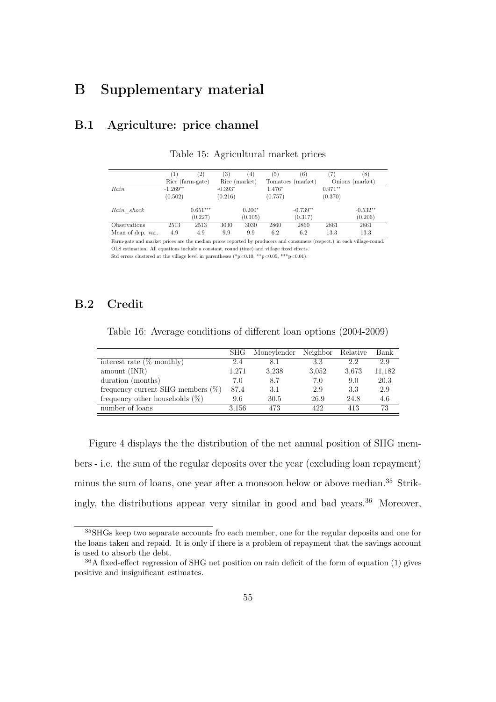# B Supplementary material

#### B.1 Agriculture: price channel

|                   | 1          | (2)              | (3)           | $\left(4\right)$ | (5)     | (6)               |           | (8)             |
|-------------------|------------|------------------|---------------|------------------|---------|-------------------|-----------|-----------------|
|                   |            | Rice (farm-gate) | Rice (market) |                  |         | Tomatoes (market) |           | Onions (market) |
| Rain              | $-1.269**$ |                  | $-0.393*$     |                  | 1.476*  |                   | $0.971**$ |                 |
|                   | (0.502)    |                  | (0.216)       |                  | (0.757) |                   | (0.370)   |                 |
| Rain shock        |            | $0.651***$       |               | $0.200*$         |         | $-0.739**$        |           | $-0.532**$      |
|                   |            | (0.227)          |               | (0.105)          |         | (0.317)           |           | (0.206)         |
| Observations      | 2513       | 2513             | 3030          | 3030             | 2860    | 2860              | 2861      | 2861            |
| Mean of dep. var. | 4.9        | 4.9              | 9.9           | 9.9              | 6.2     | 6.2               | 13.3      | 13.3            |

Table 15: Agricultural market prices

Farm-gate and market prices are the median prices reported by producers and consumers (respect.) in each village-round. OLS estimation. All equations include a constant, round (time) and village fixed effects. Std errors clustered at the village level in parentheses (\*p<0.10, \*\*p<0.05, \*\*\*p<0.01).

#### B.2 Credit

Table 16: Average conditions of different loan options (2004-2009)

|                                      | SHG   | Moneylender | Neighbor | Relative | Bank   |
|--------------------------------------|-------|-------------|----------|----------|--------|
| interest rate $(\%$ monthly)         | 2.4   | 8.1         | 3.3      | 2.2      | 2.9    |
| amount (INR)                         | 1.271 | 3.238       | 3.052    | 3,673    | 11,182 |
| duration (months)                    | 7.0   | 8.7         | 7.0      | 9.0      | 20.3   |
| frequency current SHG members $(\%)$ | 87.4  | 3.1         | 2.9      | 3.3      | 2.9    |
| frequency other households $(\%)$    | 9.6   | 30.5        | 26.9     | 24.8     | 4.6    |
| number of loans                      | 3.156 | 473         | 422      | 413      | 73     |

Figure 4 displays the the distribution of the net annual position of SHG members - i.e. the sum of the regular deposits over the year (excluding loan repayment) minus the sum of loans, one year after a monsoon below or above median.<sup>35</sup> Strikingly, the distributions appear very similar in good and bad years.<sup>36</sup> Moreover,

<sup>35</sup>SHGs keep two separate accounts fro each member, one for the regular deposits and one for the loans taken and repaid. It is only if there is a problem of repayment that the savings account is used to absorb the debt.

<sup>36</sup>A fixed-effect regression of SHG net position on rain deficit of the form of equation (1) gives positive and insignificant estimates.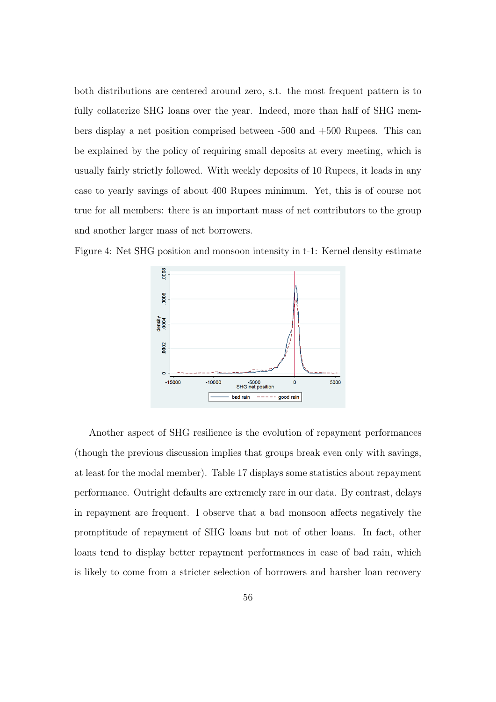both distributions are centered around zero, s.t. the most frequent pattern is to fully collaterize SHG loans over the year. Indeed, more than half of SHG members display a net position comprised between -500 and +500 Rupees. This can be explained by the policy of requiring small deposits at every meeting, which is usually fairly strictly followed. With weekly deposits of 10 Rupees, it leads in any case to yearly savings of about 400 Rupees minimum. Yet, this is of course not true for all members: there is an important mass of net contributors to the group and another larger mass of net borrowers.

Figure 4: Net SHG position and monsoon intensity in t-1: Kernel density estimate



Another aspect of SHG resilience is the evolution of repayment performances (though the previous discussion implies that groups break even only with savings, at least for the modal member). Table 17 displays some statistics about repayment performance. Outright defaults are extremely rare in our data. By contrast, delays in repayment are frequent. I observe that a bad monsoon affects negatively the promptitude of repayment of SHG loans but not of other loans. In fact, other loans tend to display better repayment performances in case of bad rain, which is likely to come from a stricter selection of borrowers and harsher loan recovery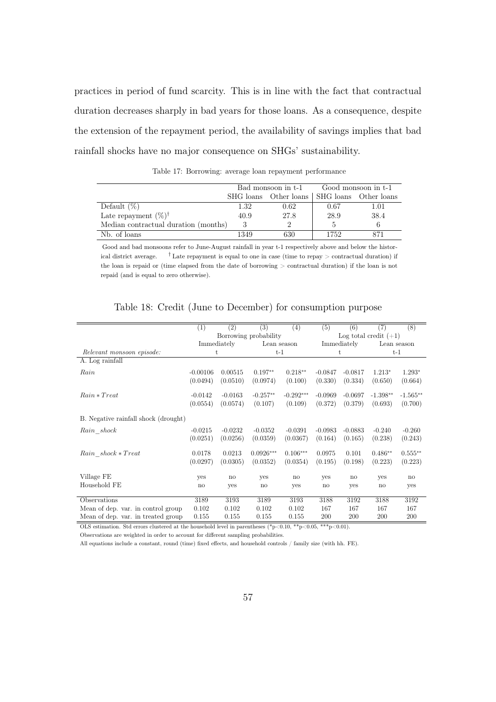practices in period of fund scarcity. This is in line with the fact that contractual duration decreases sharply in bad years for those loans. As a consequence, despite the extension of the repayment period, the availability of savings implies that bad rainfall shocks have no major consequence on SHGs' sustainability.

|                                      |      | Bad monsoon in t-1                          | Good monsoon in t-1 |      |  |
|--------------------------------------|------|---------------------------------------------|---------------------|------|--|
|                                      |      | SHG loans Other loans SHG loans Other loans |                     |      |  |
| Default $(\%)$                       | 1.32 | 0.62                                        | 0.67                | 1.01 |  |
| Late repayment $(\%)^{\dagger}$      | 40.9 | 27.8                                        | 28.9                | 38.4 |  |
| Median contractual duration (months) |      |                                             |                     |      |  |
| Nb. of loans                         | 1349 | 630                                         | 1752                |      |  |

Table 17: Borrowing: average loan repayment performance

Good and bad monsoons refer to June-August rainfall in year t-1 respectively above and below the historical district average.  $\qquad$  † Late repayment is equal to one in case (time to repay > contractual duration) if the loan is repaid or (time elapsed from the date of borrowing > contractual duration) if the loan is not repaid (and is equal to zero otherwise).

|                                      | (1)        | (2)                   | (3)          | (4)           | (5)          | (6)                     | (7)        | (8)           |  |
|--------------------------------------|------------|-----------------------|--------------|---------------|--------------|-------------------------|------------|---------------|--|
|                                      |            | Borrowing probability |              |               |              | Log total credit $(+1)$ |            |               |  |
|                                      |            | Immediately           |              | Lean season   |              | Immediately             |            | Lean season   |  |
| Relevant monsoon episode:            |            | t                     |              | $t-1$         |              | t                       | $t-1$      |               |  |
| A. Log rainfall                      |            |                       |              |               |              |                         |            |               |  |
| Rain                                 | $-0.00106$ | 0.00515               | $0.197**$    | $0.218**$     | $-0.0847$    | $-0.0817$               | $1.213*$   | $1.293*$      |  |
|                                      | (0.0494)   | (0.0510)              | (0.0974)     | (0.100)       | (0.330)      | (0.334)                 | (0.650)    | (0.664)       |  |
| $Rain * Treat$                       | $-0.0142$  | $-0.0163$             | $-0.257**$   | $-0.292***$   | $-0.0969$    | $-0.0697$               | $-1.398**$ | $-1.565**$    |  |
|                                      | (0.0554)   | (0.0574)              | (0.107)      | (0.109)       | (0.372)      | (0.379)                 | (0.693)    | (0.700)       |  |
| B. Negative rainfall shock (drought) |            |                       |              |               |              |                         |            |               |  |
| Rain shock                           | $-0.0215$  | $-0.0232$             | $-0.0352$    | $-0.0391$     | $-0.0983$    | $-0.0883$               | $-0.240$   | $-0.260$      |  |
|                                      | (0.0251)   | (0.0256)              | (0.0359)     | (0.0367)      | (0.164)      | (0.165)                 | (0.238)    | (0.243)       |  |
| Rain shock * Treat                   | 0.0178     | 0.0213                | $0.0926***$  | $0.106***$    | 0.0975       | 0.101                   | $0.486**$  | $0.555***$    |  |
|                                      | (0.0297)   | (0.0305)              | (0.0352)     | (0.0354)      | (0.195)      | (0.198)                 | (0.223)    | (0.223)       |  |
| Village FE                           | yes        | no                    | yes          | $\mathbf{no}$ | yes          | $\mathbf{n}$            | yes        | $\mathbf{no}$ |  |
| Household FE                         | no         | yes                   | $\mathbf{n}$ | yes           | $\mathbf{n}$ | yes                     | no         | yes           |  |
| Observations                         | 3189       | 3193                  | 3189         | 3193          | 3188         | 3192                    | 3188       | 3192          |  |
| Mean of dep. var. in control group   | 0.102      | 0.102                 | 0.102        | 0.102         | 167          | 167                     | 167        | 167           |  |
| Mean of dep. var. in treated group   | 0.155      | 0.155                 | 0.155        | 0.155         | 200          | 200                     | 200        | 200           |  |

Table 18: Credit (June to December) for consumption purpose

OLS estimation. Std errors clustered at the household level in parentheses  $(*p<0.10, **p<0.05, **p<0.01)$ .

Observations are weighted in order to account for different sampling probabilities.

All equations include a constant, round (time) fixed effects, and household controls / family size (with hh. FE).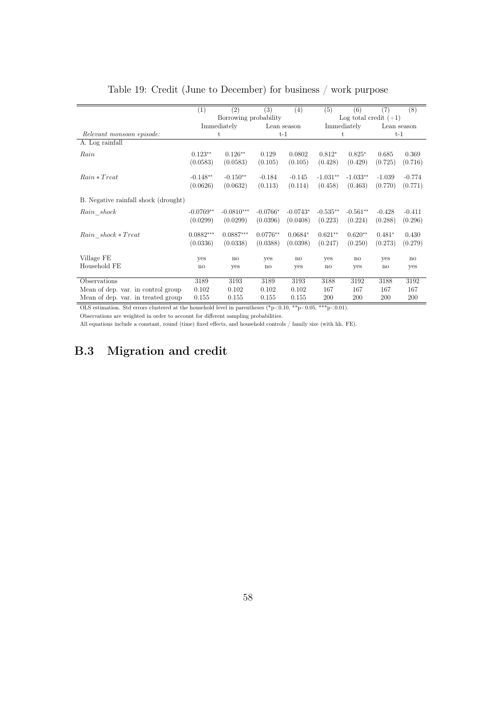|                                      | (1)                    | (2)                   | (3)        | (4)         | (5)         | (6)        | (7)                     | (8)          |  |  |
|--------------------------------------|------------------------|-----------------------|------------|-------------|-------------|------------|-------------------------|--------------|--|--|
|                                      |                        | Borrowing probability |            |             |             |            | Log total credit $(+1)$ |              |  |  |
|                                      |                        | Immediately           |            | Lean season | Immediately |            | Lean season             |              |  |  |
| Relevant monsoon episode:            |                        | t                     |            | $t-1$       |             | t          | $t-1$                   |              |  |  |
| A. Log rainfall                      |                        |                       |            |             |             |            |                         |              |  |  |
| Rain                                 | $0.123**$              | $0.126**$             | 0.129      | 0.0802      | $0.812*$    | $0.825*$   | 0.685                   | 0.369        |  |  |
|                                      | (0.0583)               | (0.0583)              | (0.105)    | (0.105)     | (0.428)     | (0.429)    | (0.725)                 | (0.716)      |  |  |
| $Rain * Treat$                       | $-0.148**$             | $-0.150**$            | $-0.184$   | $-0.145$    | $-1.031**$  | $-1.033**$ | $-1.039$                | $-0.774$     |  |  |
|                                      | (0.0626)               | (0.0632)              | (0.113)    | (0.114)     | (0.458)     | (0.463)    | (0.770)                 | (0.771)      |  |  |
| B. Negative rainfall shock (drought) |                        |                       |            |             |             |            |                         |              |  |  |
| Rain shock                           | $-0.0769**$            | $-0.0810***$          | $-0.0766*$ | $-0.0743*$  | $-0.535**$  | $-0.561**$ | $-0.428$                | $-0.411$     |  |  |
|                                      | (0.0299)               | (0.0299)              | (0.0396)   | (0.0408)    | (0.223)     | (0.224)    | (0.288)                 | (0.296)      |  |  |
| $Rain\_shock * Treat$                | $0.0882***$            | $0.0887***$           | $0.0776**$ | $0.0684*$   | $0.621**$   | $0.620**$  | $0.481*$                | 0.430        |  |  |
|                                      | (0.0336)               | (0.0338)              | (0.0388)   | (0.0398)    | (0.247)     | (0.250)    | (0.273)                 | (0.279)      |  |  |
| Village FE                           | yes                    | $\mathbf{n}$          | yes        | no          | yes         | no         | yes                     | $\mathbf{n}$ |  |  |
| Household FE                         | $\mathbf{n}\mathbf{o}$ | yes                   | no         | yes         | no          | yes        | no                      | yes          |  |  |
| Observations                         | 3189                   | 3193                  | 3189       | 3193        | 3188        | 3192       | 3188                    | 3192         |  |  |
| Mean of dep. var. in control group   | 0.102                  | 0.102                 | 0.102      | 0.102       | 167         | 167        | 167                     | 167          |  |  |
| Mean of dep. var. in treated group   | 0.155                  | 0.155                 | 0.155      | 0.155       | 200         | 200        | 200                     | 200          |  |  |

#### Table 19: Credit (June to December) for business / work purpose

OLS estimation. Std errors clustered at the household level in parentheses  $(*p<0.10, **p<0.05, **p<0.01)$ .

Observations are weighted in order to account for different sampling probabilities.

All equations include a constant, round (time) fixed effects, and household controls / family size (with hh. FE).

## B.3 Migration and credit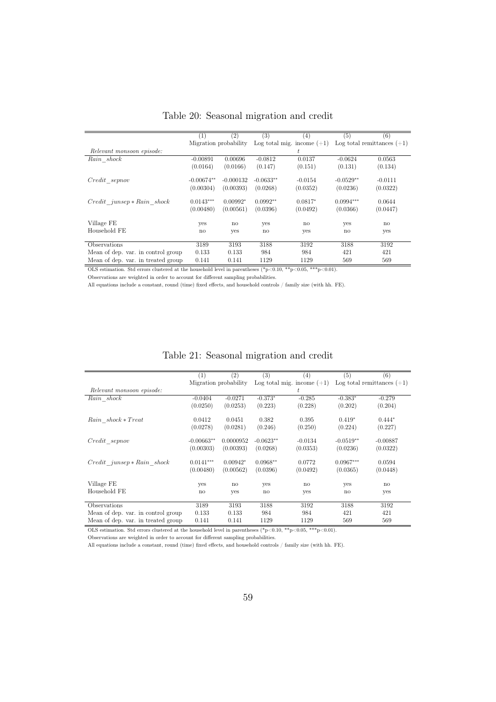|                                    | (1)                   | $\left( 2\right)$ | (3)          | (4)                          | (5)         | (6)                          |
|------------------------------------|-----------------------|-------------------|--------------|------------------------------|-------------|------------------------------|
|                                    | Migration probability |                   |              | Log total mig. income $(+1)$ |             | Log total remittances $(+1)$ |
| Relevant monsoon episode:          |                       |                   |              | t.                           |             |                              |
| Rain shock                         | $-0.00891$            | 0.00696           | $-0.0812$    | 0.0137                       | $-0.0624$   | 0.0563                       |
|                                    | (0.0164)              | (0.0166)          | (0.147)      | (0.151)                      | (0.131)     | (0.134)                      |
| Credit sepnov                      | $-0.00674**$          | $-0.000132$       | $-0.0633**$  | $-0.0154$                    | $-0.0529**$ | $-0.0111$                    |
|                                    | (0.00304)             | (0.00393)         | (0.0268)     | (0.0352)                     | (0.0236)    | (0.0322)                     |
| $Credit$ junsep $* Rain$ shock     | $0.0143***$           | $0.00992*$        | $0.0992**$   | $0.0817*$                    | $0.0994***$ | 0.0644                       |
|                                    | (0.00480)             | (0.00561)         | (0.0396)     | (0.0492)                     | (0.0366)    | (0.0447)                     |
| Village FE                         | yes                   | $\mathbf{n}$      | yes          | no                           | yes         | $\mathbf{n}$                 |
| Household FE                       | $\mathbf{n}$          | yes               | $\mathbf{n}$ | yes                          | no          | yes                          |
| Observations                       |                       |                   |              |                              |             |                              |
|                                    | 3189                  | 3193              | 3188         | 3192                         | 3188        | 3192                         |
| Mean of dep. var. in control group | 0.133                 | 0.133             | 984          | 984                          | 421         | 421                          |
| Mean of dep. var. in treated group | 0.141                 | 0.141             | 1129         | 1129                         | 569         | 569                          |

Table 20: Seasonal migration and credit

OLS estimation. Std errors clustered at the household level in parentheses  $(*p<0.10, **p<0.05, **p<0.01)$ .

Observations are weighted in order to account for different sampling probabilities.

All equations include a constant, round (time) fixed effects, and household controls / family size (with hh. FE).

|  | Table 21: Seasonal migration and credit |  |
|--|-----------------------------------------|--|
|  |                                         |  |

|                                    | (1)          | (2)                   | (3)                    | (4)                          | (5)          | (6)                          |
|------------------------------------|--------------|-----------------------|------------------------|------------------------------|--------------|------------------------------|
|                                    |              | Migration probability |                        | Log total mig. income $(+1)$ |              | Log total remittances $(+1)$ |
| Relevant monsoon episode:          |              |                       |                        | t                            |              |                              |
| Rain shock                         | $-0.0404$    | $-0.0271$             | $-0.373*$              | $-0.285$                     | $-0.383*$    | $-0.279$                     |
|                                    | (0.0250)     | (0.0253)              | (0.223)                | (0.228)                      | (0.202)      | (0.204)                      |
| Rain shock * Treat                 | 0.0412       | 0.0451                | 0.382                  | 0.395                        | $0.419*$     | $0.444*$                     |
|                                    | (0.0278)     | (0.0281)              | (0.246)                | (0.250)                      | (0.224)      | (0.227)                      |
| Credit sepnov                      | $-0.00663**$ | 0.0000952             | $-0.0623**$            | $-0.0134$                    | $-0.0519**$  | $-0.00887$                   |
|                                    | (0.00303)    | (0.00393)             | (0.0268)               | (0.0353)                     | (0.0236)     | (0.0322)                     |
| $Credit$ junsep $* Rain$ shock     | $0.0141***$  | $0.00942*$            | $0.0968**$             | 0.0772                       | $0.0967***$  | 0.0594                       |
|                                    | (0.00480)    | (0.00562)             | (0.0396)               | (0.0492)                     | (0.0365)     | (0.0448)                     |
| Village FE                         | yes          | $\mathbf{n}$          | yes                    | $\mathbf{n}$                 | yes          | $\mathbf{n}$                 |
| Household FE                       | no           | yes                   | $\mathop{\mathrm{no}}$ | yes                          | $\mathbf{n}$ | yes                          |
| Observations                       | 3189         | 3193                  | 3188                   | 3192                         | 3188         | 3192                         |
|                                    |              |                       |                        |                              |              |                              |
| Mean of dep. var. in control group | 0.133        | 0.133                 | 984                    | 984                          | 421          | 421                          |
| Mean of dep. var. in treated group | 0.141        | 0.141                 | 1129                   | 1129                         | 569          | 569                          |

OLS estimation. Std errors clustered at the household level in parentheses  $(*p<0.10, **p<0.05, **p<0.01)$ .

Observations are weighted in order to account for different sampling probabilities.

All equations include a constant, round (time) fixed effects, and household controls / family size (with hh. FE).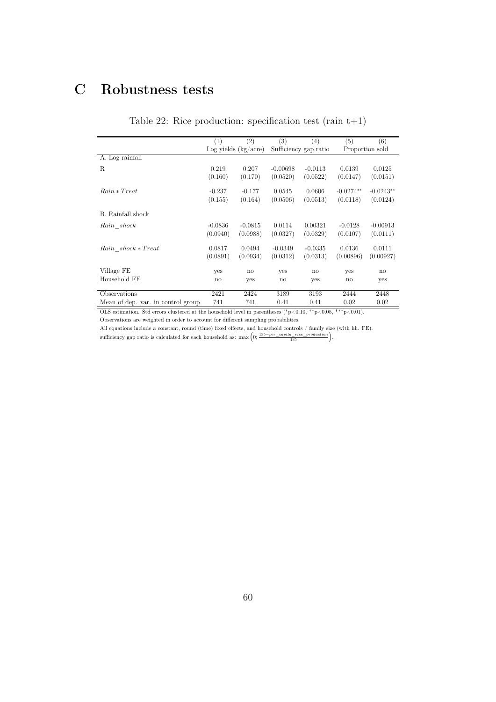# C Robustness tests

|  | Table 22: Rice production: specification test (rain $t+1$ ) |  |  |  |  |
|--|-------------------------------------------------------------|--|--|--|--|
|--|-------------------------------------------------------------|--|--|--|--|

|                                    | (1)          | (2)                    | (3)          | (4)                   | (5)          | (6)             |
|------------------------------------|--------------|------------------------|--------------|-----------------------|--------------|-----------------|
|                                    |              | Log yields $(kg/acre)$ |              | Sufficiency gap ratio |              | Proportion sold |
| A. Log rainfall                    |              |                        |              |                       |              |                 |
| R                                  | 0.219        | 0.207                  | $-0.00698$   | $-0.0113$             | 0.0139       | 0.0125          |
|                                    | (0.160)      | (0.170)                | (0.0520)     | (0.0522)              | (0.0147)     | (0.0151)        |
| $Rain * Treat$                     | $-0.237$     | $-0.177$               | 0.0545       | 0.0606                | $-0.0274**$  | $-0.0243**$     |
|                                    | (0.155)      | (0.164)                | (0.0506)     | (0.0513)              | (0.0118)     | (0.0124)        |
| B. Rainfall shock                  |              |                        |              |                       |              |                 |
| Rain shock                         | $-0.0836$    | $-0.0815$              | 0.0114       | 0.00321               | $-0.0128$    | $-0.00913$      |
|                                    | (0.0940)     | (0.0988)               | (0.0327)     | (0.0329)              | (0.0107)     | (0.0111)        |
| Rain shock * Treat                 | 0.0817       | 0.0494                 | $-0.0349$    | $-0.0335$             | 0.0136       | 0.0111          |
|                                    | (0.0891)     | (0.0934)               | (0.0312)     | (0.0313)              | (0.00896)    | (0.00927)       |
| Village FE                         | yes          | $\mathbf{n}$           | yes          | no                    | yes          | $\mathbf{n}$    |
| Household FE                       | $\mathbf{n}$ | yes                    | $\mathbf{n}$ | yes                   | $\mathbf{n}$ | yes             |
| Observations                       | 2421         | 2424                   | 3189         | 3193                  | 2444         | 2448            |
| Mean of dep. var. in control group | 741          | 741                    | 0.41         | 0.41                  | 0.02         | 0.02            |

OLS estimation. Std errors clustered at the household level in parentheses (\*p<0.10, \*\*p<0.05, \*\*\*p<0.01).

Observations are weighted in order to account for different sampling probabilities.

All equations include a constant, round (time) fixed effects, and household controls / family size (with hh. FE). sufficiency gap ratio is calculated for each household as:  $\max\left(0; \frac{135-per\_capita\_rice\_production}{135}\right)$ .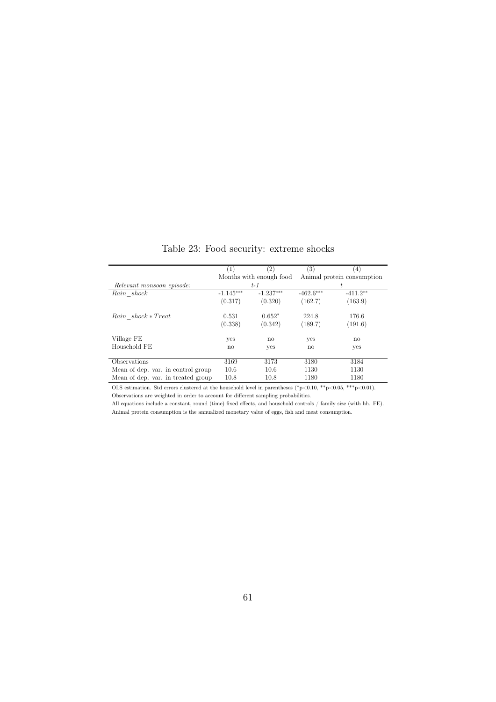| (1)         | $\left( 2\right)$ | (3)                             | (4)          |  |
|-------------|-------------------|---------------------------------|--------------|--|
|             |                   | Animal protein consumption      |              |  |
|             | $t-1$             | t                               |              |  |
| $-1.145***$ | $-1.237***$       | $-462.6***$                     | $-411.2**$   |  |
| (0.317)     | (0.320)           | (162.7)                         | (163.9)      |  |
| 0.531       | $0.652*$          | 224.8                           | 176.6        |  |
| (0.338)     | (0.342)           | (189.7)                         | (191.6)      |  |
| yes         | $\mathbf{n}$      | yes                             | $\mathbf{n}$ |  |
| no          | yes               | $\mathbf{n}\mathbf{o}$          | yes          |  |
|             |                   |                                 |              |  |
|             |                   |                                 | 3184         |  |
| 10.6        | 10.6              | 1130                            | 1130         |  |
| 10.8        | 10.8              | 1180                            | 1180         |  |
|             | 3169              | Months with enough food<br>3173 | 3180         |  |

Table 23: Food security: extreme shocks

OLS estimation. Std errors clustered at the household level in parentheses  $(*p<0.10, **p<0.05, **p<0.01)$ . Observations are weighted in order to account for different sampling probabilities.

All equations include a constant, round (time) fixed effects, and household controls  $/$  family size (with hh. FE). Animal protein consumption is the annualized monetary value of eggs, fish and meat consumption.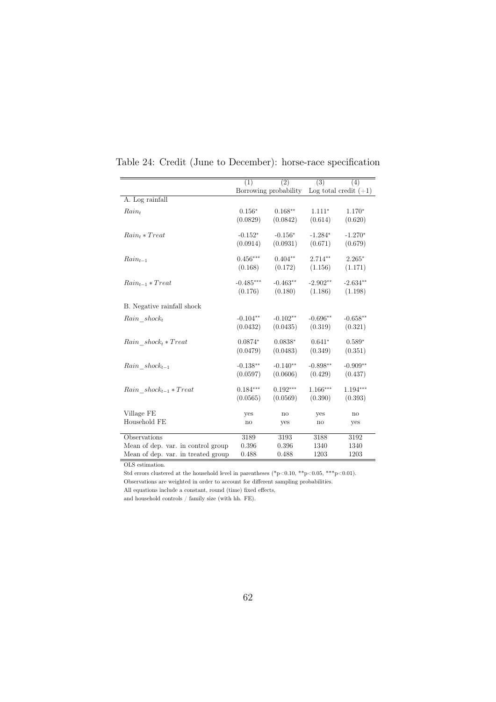|                                    | (1)                   | (2)        | (3)        | (4)                     |
|------------------------------------|-----------------------|------------|------------|-------------------------|
|                                    | Borrowing probability |            |            | Log total credit $(+1)$ |
| A. Log rainfall                    |                       |            |            |                         |
| $Rain_t$                           | $0.156*$              | $0.168**$  | $1.111*$   | $1.170*$                |
|                                    | (0.0829)              | (0.0842)   | (0.614)    | (0.620)                 |
| $Rain_t * Treat$                   | $-0.152*$             | $-0.156*$  | $-1.284*$  | $-1.270*$               |
|                                    | (0.0914)              | (0.0931)   | (0.671)    | (0.679)                 |
| $Rain_{t-1}$                       | $0.456***$            | $0.404**$  | $2.714**$  | $2.265*$                |
|                                    | (0.168)               | (0.172)    | (1.156)    | (1.171)                 |
| $Rain_{t-1} * Treat$               | $-0.485***$           | $-0.463**$ | $-2.902**$ | $-2.634**$              |
|                                    | (0.176)               | (0.180)    | (1.186)    | (1.198)                 |
| B. Negative rainfall shock         |                       |            |            |                         |
| $Rain \; shock_t$                  | $-0.104**$            | $-0.102**$ | $-0.696**$ | $-0.658**$              |
|                                    | (0.0432)              | (0.0435)   | (0.319)    | (0.321)                 |
| $Rain \; shock_t * Treat$          | $0.0874*$             | $0.0838*$  | $0.641*$   | $0.589*$                |
|                                    | (0.0479)              | (0.0483)   | (0.349)    | (0.351)                 |
| $Rain \; shock_{t-1}$              | $-0.138**$            | $-0.140**$ | $-0.898**$ | $-0.909**$              |
|                                    | (0.0597)              | (0.0606)   | (0.429)    | (0.437)                 |
| $Rain \; shock_{t-1} * Treat$      | $0.184***$            | $0.192***$ | $1.166***$ | $1.194***$              |
|                                    | (0.0565)              | (0.0569)   | (0.390)    | (0.393)                 |
| Village FE                         | yes                   | no         | yes        | no                      |
| Household FE                       | no                    | yes        | no         | yes                     |
| Observations                       | 3189                  | 3193       | 3188       | 3192                    |
| Mean of dep. var. in control group | 0.396                 | 0.396      | 1340       | 1340                    |
| Mean of dep. var. in treated group | 0.488                 | 0.488      | 1203       | 1203                    |

Table 24: Credit (June to December): horse-race specification

OLS estimation.

Std errors clustered at the household level in parentheses (\*p<0.10, \*\*p<0.05, \*\*\*p<0.01). Observations are weighted in order to account for different sampling probabilities.

All equations include a constant, round (time) fixed effects,

and household controls / family size (with hh. FE).